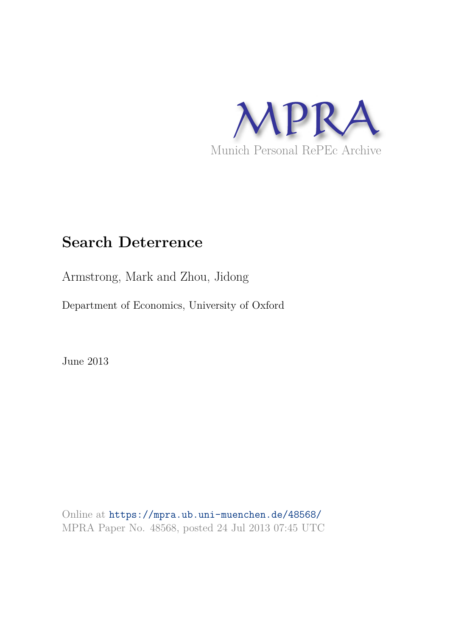

# **Search Deterrence**

Armstrong, Mark and Zhou, Jidong

Department of Economics, University of Oxford

June 2013

Online at https://mpra.ub.uni-muenchen.de/48568/ MPRA Paper No. 48568, posted 24 Jul 2013 07:45 UTC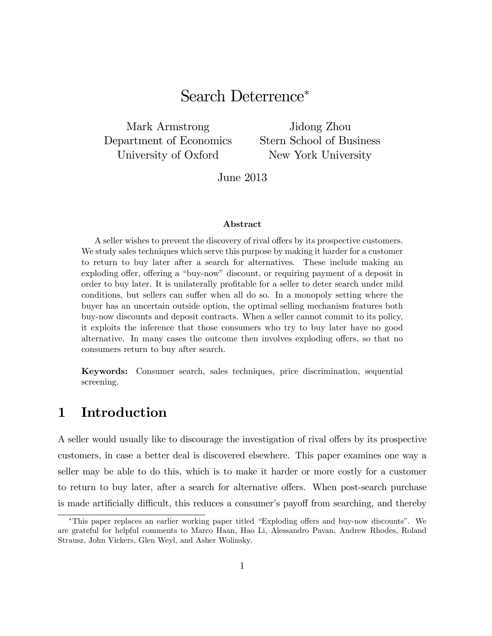# Search Deterrence

Mark Armstrong Department of Economics University of Oxford

Jidong Zhou Stern School of Business New York University

June 2013

#### Abstract

A seller wishes to prevent the discovery of rival offers by its prospective customers. We study sales techniques which serve this purpose by making it harder for a customer to return to buy later after a search for alternatives. These include making an exploding offer, offering a "buy-now" discount, or requiring payment of a deposit in order to buy later. It is unilaterally profitable for a seller to deter search under mild conditions, but sellers can suffer when all do so. In a monopoly setting where the buyer has an uncertain outside option, the optimal selling mechanism features both buy-now discounts and deposit contracts. When a seller cannot commit to its policy, it exploits the inference that those consumers who try to buy later have no good alternative. In many cases the outcome then involves exploding offers, so that no consumers return to buy after search.

Keywords: Consumer search, sales techniques, price discrimination, sequential screening.

### 1 Introduction

A seller would usually like to discourage the investigation of rival offers by its prospective customers, in case a better deal is discovered elsewhere. This paper examines one way a seller may be able to do this, which is to make it harder or more costly for a customer to return to buy later, after a search for alternative offers. When post-search purchase is made artificially difficult, this reduces a consumer's payoff from searching, and thereby

<sup>\*</sup>This paper replaces an earlier working paper titled "Exploding offers and buy-now discounts". We are grateful for helpful comments to Marco Haan, Hao Li, Alessandro Pavan, Andrew Rhodes, Roland Strausz, John Vickers, Glen Weyl, and Asher Wolinsky.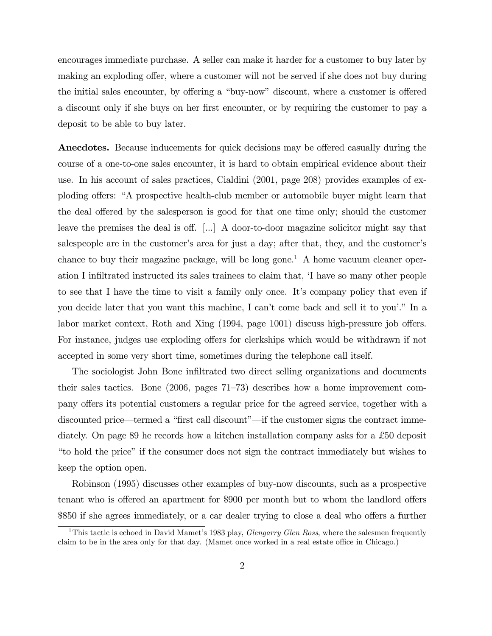encourages immediate purchase. A seller can make it harder for a customer to buy later by making an exploding offer, where a customer will not be served if she does not buy during the initial sales encounter, by offering a "buy-now" discount, where a customer is offered a discount only if she buys on her first encounter, or by requiring the customer to pay a deposit to be able to buy later.

**Anecdotes.** Because inducements for quick decisions may be offered casually during the course of a one-to-one sales encounter, it is hard to obtain empirical evidence about their use. In his account of sales practices, Cialdini (2001, page 208) provides examples of exploding offers: "A prospective health-club member or automobile buyer might learn that the deal offered by the salesperson is good for that one time only; should the customer leave the premises the deal is off.  $\lceil ... \rceil$  A door-to-door magazine solicitor might say that salespeople are in the customer's area for just a day; after that, they, and the customer's chance to buy their magazine package, will be long gone.<sup>1</sup> A home vacuum cleaner operation I infiltrated instructed its sales trainees to claim that,  $\dot{\mathbf{I}}$  have so many other people to see that I have the time to visit a family only once. It's company policy that even if you decide later that you want this machine, I can't come back and sell it to you'." In a labor market context, Roth and Xing (1994, page 1001) discuss high-pressure job offers. For instance, judges use exploding offers for clerkships which would be withdrawn if not accepted in some very short time, sometimes during the telephone call itself.

The sociologist John Bone inÖltrated two direct selling organizations and documents their sales tactics. Bone  $(2006, \text{ pages } 71-73)$  describes how a home improvement company offers its potential customers a regular price for the agreed service, together with a discounted price—termed a "first call discount"—if the customer signs the contract immediately. On page 89 he records how a kitchen installation company asks for a £50 deposit ìto hold the priceî if the consumer does not sign the contract immediately but wishes to keep the option open.

Robinson (1995) discusses other examples of buy-now discounts, such as a prospective tenant who is offered an apartment for \$900 per month but to whom the landlord offers \$850 if she agrees immediately, or a car dealer trying to close a deal who offers a further

<sup>&</sup>lt;sup>1</sup>This tactic is echoed in David Mamet's 1983 play, *Glengarry Glen Ross*, where the salesmen frequently claim to be in the area only for that day. (Mamet once worked in a real estate office in Chicago.)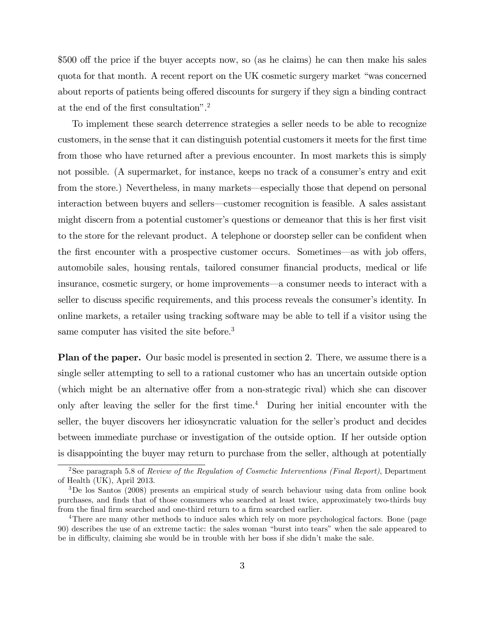\$500 off the price if the buyer accepts now, so (as he claims) he can then make his sales quota for that month. A recent report on the UK cosmetic surgery market "was concerned about reports of patients being offered discounts for surgery if they sign a binding contract at the end of the first consultation".<sup>2</sup>

To implement these search deterrence strategies a seller needs to be able to recognize customers, in the sense that it can distinguish potential customers it meets for the Örst time from those who have returned after a previous encounter. In most markets this is simply not possible. (A supermarket, for instance, keeps no track of a consumer's entry and exit from the store.) Nevertheless, in many markets—especially those that depend on personal interaction between buyers and sellers—customer recognition is feasible. A sales assistant might discern from a potential customer's questions or demeanor that this is her first visit to the store for the relevant product. A telephone or doorstep seller can be confident when the first encounter with a prospective customer occurs. Sometimes—as with job offers, automobile sales, housing rentals, tailored consumer Önancial products, medical or life insurance, cosmetic surgery, or home improvements—a consumer needs to interact with a seller to discuss specific requirements, and this process reveals the consumer's identity. In online markets, a retailer using tracking software may be able to tell if a visitor using the same computer has visited the site before.<sup>3</sup>

Plan of the paper. Our basic model is presented in section 2. There, we assume there is a single seller attempting to sell to a rational customer who has an uncertain outside option (which might be an alternative offer from a non-strategic rival) which she can discover only after leaving the seller for the first time.<sup>4</sup> During her initial encounter with the seller, the buyer discovers her idiosyncratic valuation for the seller's product and decides between immediate purchase or investigation of the outside option. If her outside option is disappointing the buyer may return to purchase from the seller, although at potentially

<sup>&</sup>lt;sup>2</sup>See paragraph 5.8 of Review of the Regulation of Cosmetic Interventions (Final Report), Department of Health (UK), April 2013.

<sup>3</sup>De los Santos (2008) presents an empirical study of search behaviour using data from online book purchases, and finds that of those consumers who searched at least twice, approximately two-thirds buy from the final firm searched and one-third return to a firm searched earlier.

<sup>4</sup>There are many other methods to induce sales which rely on more psychological factors. Bone (page 90) describes the use of an extreme tactic: the sales woman "burst into tears" when the sale appeared to be in difficulty, claiming she would be in trouble with her boss if she didn't make the sale.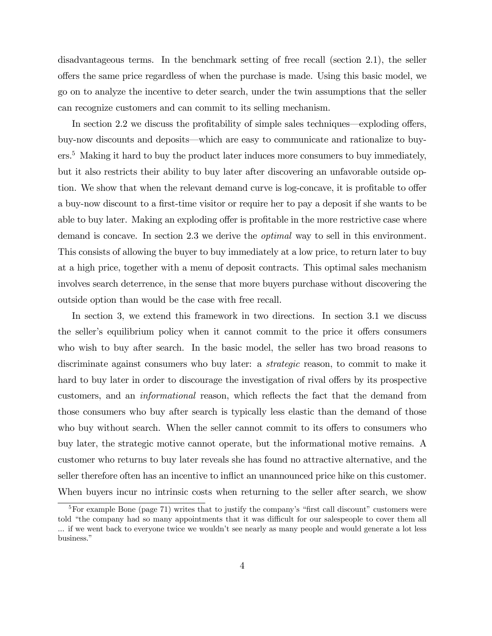disadvantageous terms. In the benchmark setting of free recall (section 2.1), the seller o§ers the same price regardless of when the purchase is made. Using this basic model, we go on to analyze the incentive to deter search, under the twin assumptions that the seller can recognize customers and can commit to its selling mechanism.

In section 2.2 we discuss the profitability of simple sales techniques—exploding offers, buy-now discounts and deposits—which are easy to communicate and rationalize to buyers.<sup>5</sup> Making it hard to buy the product later induces more consumers to buy immediately, but it also restricts their ability to buy later after discovering an unfavorable outside option. We show that when the relevant demand curve is log-concave, it is profitable to offer a buy-now discount to a first-time visitor or require her to pay a deposit if she wants to be able to buy later. Making an exploding offer is profitable in the more restrictive case where demand is concave. In section 2.3 we derive the optimal way to sell in this environment. This consists of allowing the buyer to buy immediately at a low price, to return later to buy at a high price, together with a menu of deposit contracts. This optimal sales mechanism involves search deterrence, in the sense that more buyers purchase without discovering the outside option than would be the case with free recall.

In section 3, we extend this framework in two directions. In section 3.1 we discuss the seller's equilibrium policy when it cannot commit to the price it offers consumers who wish to buy after search. In the basic model, the seller has two broad reasons to discriminate against consumers who buy later: a *strategic* reason, to commit to make it hard to buy later in order to discourage the investigation of rival offers by its prospective customers, and an *informational* reason, which reflects the fact that the demand from those consumers who buy after search is typically less elastic than the demand of those who buy without search. When the seller cannot commit to its offers to consumers who buy later, the strategic motive cannot operate, but the informational motive remains. A customer who returns to buy later reveals she has found no attractive alternative, and the seller therefore often has an incentive to inflict an unannounced price hike on this customer. When buyers incur no intrinsic costs when returning to the seller after search, we show

<sup>&</sup>lt;sup>5</sup>For example Bone (page 71) writes that to justify the company's "first call discount" customers were told "the company had so many appointments that it was difficult for our salespeople to cover them all ... if we went back to everyone twice we wouldn't see nearly as many people and would generate a lot less business."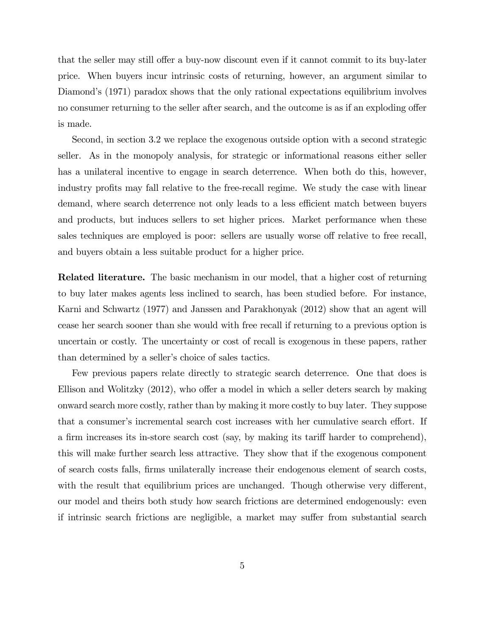that the seller may still offer a buy-now discount even if it cannot commit to its buy-later price. When buyers incur intrinsic costs of returning, however, an argument similar to Diamond's (1971) paradox shows that the only rational expectations equilibrium involves no consumer returning to the seller after search, and the outcome is as if an exploding offer is made.

Second, in section 3.2 we replace the exogenous outside option with a second strategic seller. As in the monopoly analysis, for strategic or informational reasons either seller has a unilateral incentive to engage in search deterrence. When both do this, however, industry profits may fall relative to the free-recall regime. We study the case with linear demand, where search deterrence not only leads to a less efficient match between buyers and products, but induces sellers to set higher prices. Market performance when these sales techniques are employed is poor: sellers are usually worse off relative to free recall, and buyers obtain a less suitable product for a higher price.

Related literature. The basic mechanism in our model, that a higher cost of returning to buy later makes agents less inclined to search, has been studied before. For instance, Karni and Schwartz (1977) and Janssen and Parakhonyak (2012) show that an agent will cease her search sooner than she would with free recall if returning to a previous option is uncertain or costly. The uncertainty or cost of recall is exogenous in these papers, rather than determined by a seller's choice of sales tactics.

Few previous papers relate directly to strategic search deterrence. One that does is Ellison and Wolitzky  $(2012)$ , who offer a model in which a seller deters search by making onward search more costly, rather than by making it more costly to buy later. They suppose that a consumer's incremental search cost increases with her cumulative search effort. If a firm increases its in-store search cost (say, by making its tariff harder to comprehend), this will make further search less attractive. They show that if the exogenous component of search costs falls, Örms unilaterally increase their endogenous element of search costs, with the result that equilibrium prices are unchanged. Though otherwise very different, our model and theirs both study how search frictions are determined endogenously: even if intrinsic search frictions are negligible, a market may suffer from substantial search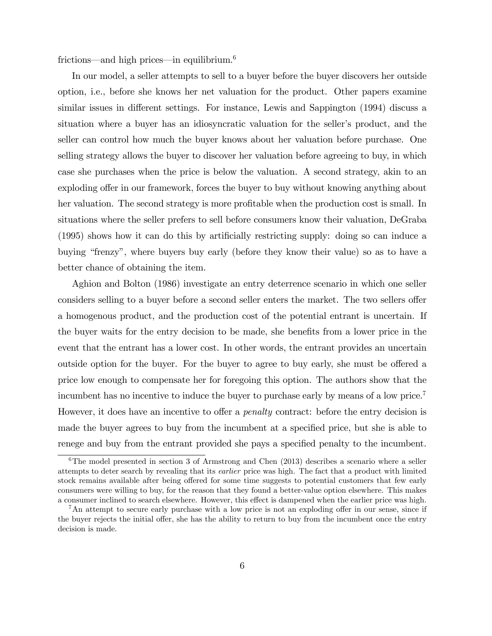frictions—and high prices—in equilibrium.<sup>6</sup>

In our model, a seller attempts to sell to a buyer before the buyer discovers her outside option, i.e., before she knows her net valuation for the product. Other papers examine similar issues in different settings. For instance, Lewis and Sappington (1994) discuss a situation where a buyer has an idiosyncratic valuation for the seller's product, and the seller can control how much the buyer knows about her valuation before purchase. One selling strategy allows the buyer to discover her valuation before agreeing to buy, in which case she purchases when the price is below the valuation. A second strategy, akin to an exploding offer in our framework, forces the buyer to buy without knowing anything about her valuation. The second strategy is more profitable when the production cost is small. In situations where the seller prefers to sell before consumers know their valuation, DeGraba (1995) shows how it can do this by artificially restricting supply: doing so can induce a buying "frenzy", where buyers buy early (before they know their value) so as to have a better chance of obtaining the item.

Aghion and Bolton (1986) investigate an entry deterrence scenario in which one seller considers selling to a buyer before a second seller enters the market. The two sellers offer a homogenous product, and the production cost of the potential entrant is uncertain. If the buyer waits for the entry decision to be made, she benefits from a lower price in the event that the entrant has a lower cost. In other words, the entrant provides an uncertain outside option for the buyer. For the buyer to agree to buy early, she must be offered a price low enough to compensate her for foregoing this option. The authors show that the incumbent has no incentive to induce the buyer to purchase early by means of a low price.<sup>7</sup> However, it does have an incentive to offer a *penalty* contract: before the entry decision is made the buyer agrees to buy from the incumbent at a specified price, but she is able to renege and buy from the entrant provided she pays a specified penalty to the incumbent.

 $6$ The model presented in section 3 of Armstrong and Chen (2013) describes a scenario where a seller attempts to deter search by revealing that its earlier price was high. The fact that a product with limited stock remains available after being offered for some time suggests to potential customers that few early consumers were willing to buy, for the reason that they found a better-value option elsewhere. This makes a consumer inclined to search elsewhere. However, this effect is dampened when the earlier price was high.

 $7\text{An attempt to secure early purchase with a low price is not an exploiting offer in our sense, since if}$ the buyer rejects the initial offer, she has the ability to return to buy from the incumbent once the entry decision is made.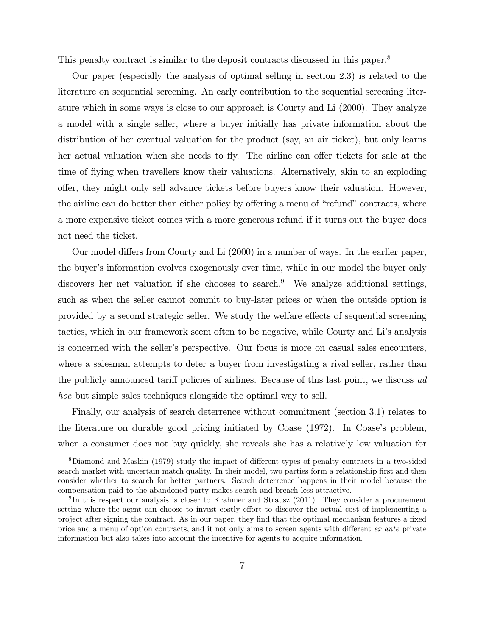This penalty contract is similar to the deposit contracts discussed in this paper.<sup>8</sup>

Our paper (especially the analysis of optimal selling in section 2.3) is related to the literature on sequential screening. An early contribution to the sequential screening literature which in some ways is close to our approach is Courty and Li (2000). They analyze a model with a single seller, where a buyer initially has private information about the distribution of her eventual valuation for the product (say, an air ticket), but only learns her actual valuation when she needs to fly. The airline can offer tickets for sale at the time of flying when travellers know their valuations. Alternatively, akin to an exploding offer, they might only sell advance tickets before buyers know their valuation. However, the airline can do better than either policy by offering a menu of "refund" contracts, where a more expensive ticket comes with a more generous refund if it turns out the buyer does not need the ticket.

Our model differs from Courty and Li (2000) in a number of ways. In the earlier paper, the buyer's information evolves exogenously over time, while in our model the buyer only discovers her net valuation if she chooses to search.<sup>9</sup> We analyze additional settings, such as when the seller cannot commit to buy-later prices or when the outside option is provided by a second strategic seller. We study the welfare effects of sequential screening tactics, which in our framework seem often to be negative, while Courty and Liís analysis is concerned with the seller's perspective. Our focus is more on casual sales encounters, where a salesman attempts to deter a buyer from investigating a rival seller, rather than the publicly announced tariff policies of airlines. Because of this last point, we discuss  $ad$ hoc but simple sales techniques alongside the optimal way to sell.

Finally, our analysis of search deterrence without commitment (section 3.1) relates to the literature on durable good pricing initiated by Coase (1972). In Coase's problem, when a consumer does not buy quickly, she reveals she has a relatively low valuation for

<sup>&</sup>lt;sup>8</sup>Diamond and Maskin (1979) study the impact of different types of penalty contracts in a two-sided search market with uncertain match quality. In their model, two parties form a relationship first and then consider whether to search for better partners. Search deterrence happens in their model because the compensation paid to the abandoned party makes search and breach less attractive.

<sup>&</sup>lt;sup>9</sup>In this respect our analysis is closer to Krahmer and Strausz (2011). They consider a procurement setting where the agent can choose to invest costly effort to discover the actual cost of implementing a project after signing the contract. As in our paper, they Önd that the optimal mechanism features a Öxed price and a menu of option contracts, and it not only aims to screen agents with different ex ante private information but also takes into account the incentive for agents to acquire information.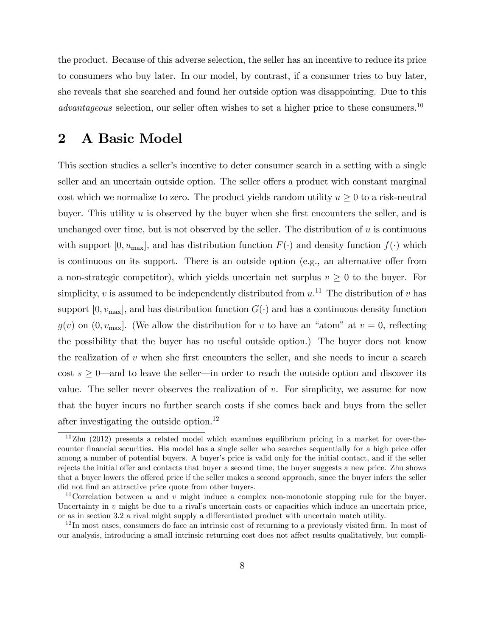the product. Because of this adverse selection, the seller has an incentive to reduce its price to consumers who buy later. In our model, by contrast, if a consumer tries to buy later, she reveals that she searched and found her outside option was disappointing. Due to this  $advantageous selection$ , our seller often wishes to set a higher price to these consumers.<sup>10</sup>

## 2 A Basic Model

This section studies a seller's incentive to deter consumer search in a setting with a single seller and an uncertain outside option. The seller offers a product with constant marginal cost which we normalize to zero. The product yields random utility  $u \geq 0$  to a risk-neutral buyer. This utility  $u$  is observed by the buyer when she first encounters the seller, and is unchanged over time, but is not observed by the seller. The distribution of  $u$  is continuous with support  $[0, u_{\text{max}}]$ , and has distribution function  $F(\cdot)$  and density function  $f(\cdot)$  which is continuous on its support. There is an outside option (e.g., an alternative offer from a non-strategic competitor), which yields uncertain net surplus  $v \geq 0$  to the buyer. For simplicity,  $v$  is assumed to be independently distributed from  $u$ .<sup>11</sup> The distribution of  $v$  has support  $[0, v_{\text{max}}]$ , and has distribution function  $G(\cdot)$  and has a continuous density function  $g(v)$  on  $(0, v_{\text{max}}]$ . (We allow the distribution for v to have an "atom" at  $v = 0$ , reflecting the possibility that the buyer has no useful outside option.) The buyer does not know the realization of  $v$  when she first encounters the seller, and she needs to incur a search cost  $s \geq 0$ —and to leave the seller—in order to reach the outside option and discover its value. The seller never observes the realization of  $v$ . For simplicity, we assume for now that the buyer incurs no further search costs if she comes back and buys from the seller after investigating the outside option.<sup>12</sup>

 $10$ Zhu (2012) presents a related model which examines equilibrium pricing in a market for over-thecounter financial securities. His model has a single seller who searches sequentially for a high price offer among a number of potential buyers. A buyer's price is valid only for the initial contact, and if the seller rejects the initial offer and contacts that buyer a second time, the buyer suggests a new price. Zhu shows that a buyer lowers the offered price if the seller makes a second approach, since the buyer infers the seller did not find an attractive price quote from other buyers.

<sup>&</sup>lt;sup>11</sup> Correlation between u and v might induce a complex non-monotonic stopping rule for the buyer. Uncertainty in v might be due to a rival's uncertain costs or capacities which induce an uncertain price, or as in section 3.2 a rival might supply a differentiated product with uncertain match utility.

 $12$  In most cases, consumers do face an intrinsic cost of returning to a previously visited firm. In most of our analysis, introducing a small intrinsic returning cost does not affect results qualitatively, but compli-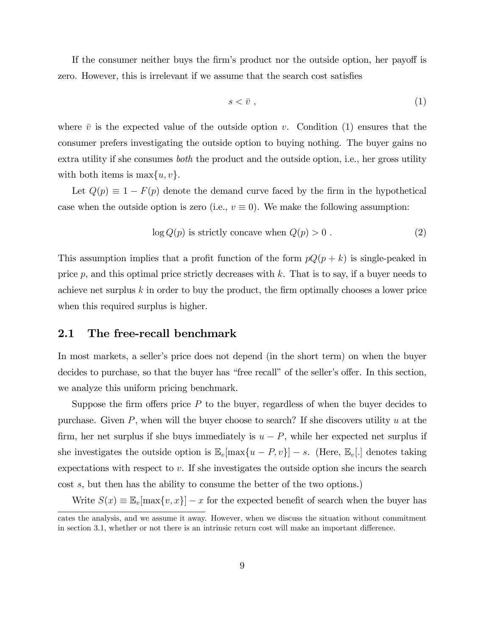If the consumer neither buys the firm's product nor the outside option, her payoff is zero. However, this is irrelevant if we assume that the search cost satisfies

$$
s < \bar{v} \tag{1}
$$

where  $\bar{v}$  is the expected value of the outside option v. Condition (1) ensures that the consumer prefers investigating the outside option to buying nothing. The buyer gains no extra utility if she consumes *both* the product and the outside option, i.e., her gross utility with both items is  $\max\{u, v\}.$ 

Let  $Q(p) \equiv 1 - F(p)$  denote the demand curve faced by the firm in the hypothetical case when the outside option is zero (i.e.,  $v \equiv 0$ ). We make the following assumption:

$$
\log Q(p) \text{ is strictly concave when } Q(p) > 0. \tag{2}
$$

This assumption implies that a profit function of the form  $pQ(p + k)$  is single-peaked in price p, and this optimal price strictly decreases with  $k$ . That is to say, if a buyer needs to achieve net surplus  $k$  in order to buy the product, the firm optimally chooses a lower price when this required surplus is higher.

#### 2.1 The free-recall benchmark

In most markets, a seller's price does not depend (in the short term) on when the buyer decides to purchase, so that the buyer has "free recall" of the seller's offer. In this section, we analyze this uniform pricing benchmark.

Suppose the firm offers price  $P$  to the buyer, regardless of when the buyer decides to purchase. Given  $P$ , when will the buyer choose to search? If she discovers utility  $u$  at the firm, her net surplus if she buys immediately is  $u - P$ , while her expected net surplus if she investigates the outside option is  $\mathbb{E}_v[\max\{u - P, v\}] - s$ . (Here,  $\mathbb{E}_v[.]$  denotes taking expectations with respect to v. If she investigates the outside option she incurs the search cost s, but then has the ability to consume the better of the two options.)

Write  $S(x) \equiv \mathbb{E}_{v}[\max\{v, x\}] - x$  for the expected benefit of search when the buyer has

cates the analysis, and we assume it away. However, when we discuss the situation without commitment in section 3.1, whether or not there is an intrinsic return cost will make an important difference.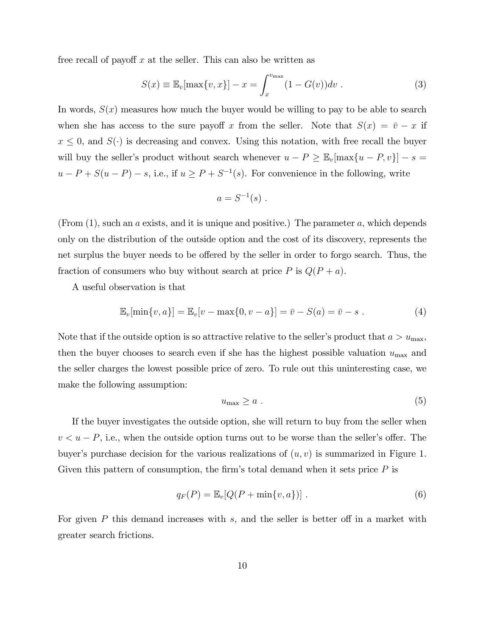free recall of payoff  $x$  at the seller. This can also be written as

$$
S(x) \equiv \mathbb{E}_v[\max\{v, x\}] - x = \int_x^{v_{\max}} (1 - G(v)) dv . \qquad (3)
$$

In words,  $S(x)$  measures how much the buyer would be willing to pay to be able to search when she has access to the sure payoff x from the seller. Note that  $S(x) = \bar{v} - x$  if  $x \leq 0$ , and  $S(\cdot)$  is decreasing and convex. Using this notation, with free recall the buyer will buy the seller's product without search whenever  $u - P \geq \mathbb{E}_v[\max\{u - P, v\}] - s =$  $u - P + S(u - P) - s$ , i.e., if  $u \ge P + S^{-1}(s)$ . For convenience in the following, write

$$
a = S^{-1}(s) .
$$

(From  $(1)$ , such an a exists, and it is unique and positive.) The parameter a, which depends only on the distribution of the outside option and the cost of its discovery, represents the net surplus the buyer needs to be offered by the seller in order to forgo search. Thus, the fraction of consumers who buy without search at price  $P$  is  $Q(P + a)$ .

A useful observation is that

$$
\mathbb{E}_{v}[\min\{v, a\}] = \mathbb{E}_{v}[v - \max\{0, v - a\}] = \bar{v} - S(a) = \bar{v} - s . \tag{4}
$$

Note that if the outside option is so attractive relative to the seller's product that  $a > u_{\text{max}}$ , then the buyer chooses to search even if she has the highest possible valuation  $u_{\text{max}}$  and the seller charges the lowest possible price of zero. To rule out this uninteresting case, we make the following assumption:

$$
u_{\max} \ge a \tag{5}
$$

If the buyer investigates the outside option, she will return to buy from the seller when  $v < u - P$ , i.e., when the outside option turns out to be worse than the seller's offer. The buyer's purchase decision for the various realizations of  $(u, v)$  is summarized in Figure 1. Given this pattern of consumption, the firm's total demand when it sets price  $P$  is

$$
q_F(P) = \mathbb{E}_v[Q(P + \min\{v, a\})]. \tag{6}
$$

For given  $P$  this demand increases with  $s$ , and the seller is better off in a market with greater search frictions.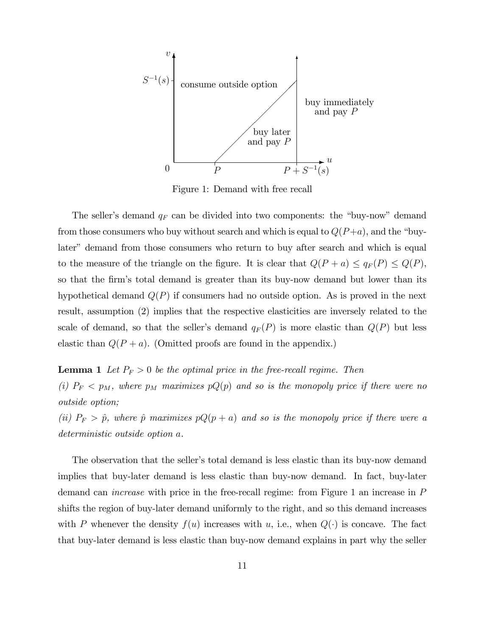

Figure 1: Demand with free recall

The seller's demand  $q_F$  can be divided into two components: the "buy-now" demand from those consumers who buy without search and which is equal to  $Q(P+a)$ , and the "buylater" demand from those consumers who return to buy after search and which is equal to the measure of the triangle on the figure. It is clear that  $Q(P + a) \leq q_F(P) \leq Q(P)$ , so that the firm's total demand is greater than its buy-now demand but lower than its hypothetical demand  $Q(P)$  if consumers had no outside option. As is proved in the next result, assumption (2) implies that the respective elasticities are inversely related to the scale of demand, so that the seller's demand  $q_F(P)$  is more elastic than  $Q(P)$  but less elastic than  $Q(P + a)$ . (Omitted proofs are found in the appendix.)

# **Lemma 1** Let  $P_F > 0$  be the optimal price in the free-recall regime. Then (i)  $P_F < p_M$ , where  $p_M$  maximizes  $pQ(p)$  and so is the monopoly price if there were no outside option;

(ii)  $P_F > \hat{p}$ , where  $\hat{p}$  maximizes  $pQ(p + a)$  and so is the monopoly price if there were a deterministic outside option a.

The observation that the seller's total demand is less elastic than its buy-now demand implies that buy-later demand is less elastic than buy-now demand. In fact, buy-later demand can increase with price in the free-recall regime: from Figure 1 an increase in P shifts the region of buy-later demand uniformly to the right, and so this demand increases with P whenever the density  $f(u)$  increases with u, i.e., when  $Q(\cdot)$  is concave. The fact that buy-later demand is less elastic than buy-now demand explains in part why the seller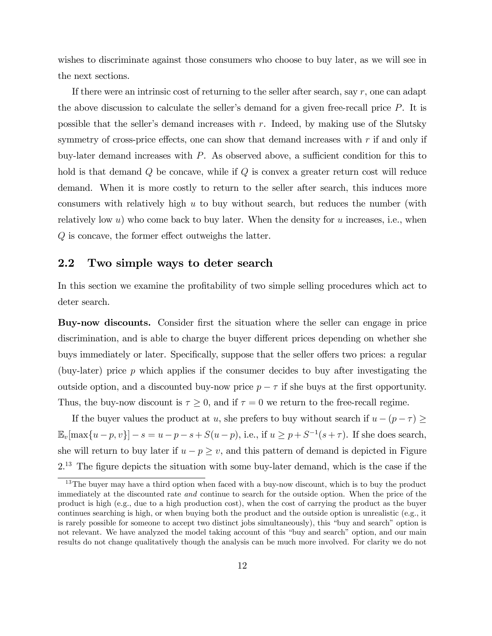wishes to discriminate against those consumers who choose to buy later, as we will see in the next sections.

If there were an intrinsic cost of returning to the seller after search, say  $r$ , one can adapt the above discussion to calculate the seller's demand for a given free-recall price  $P$ . It is possible that the seller's demand increases with  $r$ . Indeed, by making use of the Slutsky symmetry of cross-price effects, one can show that demand increases with  $r$  if and only if buy-later demand increases with  $P$ . As observed above, a sufficient condition for this to hold is that demand  $Q$  be concave, while if  $Q$  is convex a greater return cost will reduce demand. When it is more costly to return to the seller after search, this induces more consumers with relatively high  $u$  to buy without search, but reduces the number (with relatively low u) who come back to buy later. When the density for u increases, i.e., when  $Q$  is concave, the former effect outweighs the latter.

### 2.2 Two simple ways to deter search

In this section we examine the profitability of two simple selling procedures which act to deter search.

Buy-now discounts. Consider first the situation where the seller can engage in price discrimination, and is able to charge the buyer different prices depending on whether she buys immediately or later. Specifically, suppose that the seller offers two prices: a regular (buy-later) price  $p$  which applies if the consumer decides to buy after investigating the outside option, and a discounted buy-now price  $p - \tau$  if she buys at the first opportunity. Thus, the buy-now discount is  $\tau \geq 0$ , and if  $\tau = 0$  we return to the free-recall regime.

If the buyer values the product at u, she prefers to buy without search if  $u - (p - \tau) \ge$  $\mathbb{E}_{v}[\max\{u-p, v\}] - s = u - p - s + S(u - p)$ , i.e., if  $u \ge p + S^{-1}(s + \tau)$ . If she does search, she will return to buy later if  $u - p \geq v$ , and this pattern of demand is depicted in Figure  $2<sup>13</sup>$  The figure depicts the situation with some buy-later demand, which is the case if the

<sup>&</sup>lt;sup>13</sup>The buyer may have a third option when faced with a buy-now discount, which is to buy the product immediately at the discounted rate and continue to search for the outside option. When the price of the product is high (e.g., due to a high production cost), when the cost of carrying the product as the buyer continues searching is high, or when buying both the product and the outside option is unrealistic (e.g., it is rarely possible for someone to accept two distinct jobs simultaneously), this "buy and search" option is not relevant. We have analyzed the model taking account of this "buy and search" option, and our main results do not change qualitatively though the analysis can be much more involved. For clarity we do not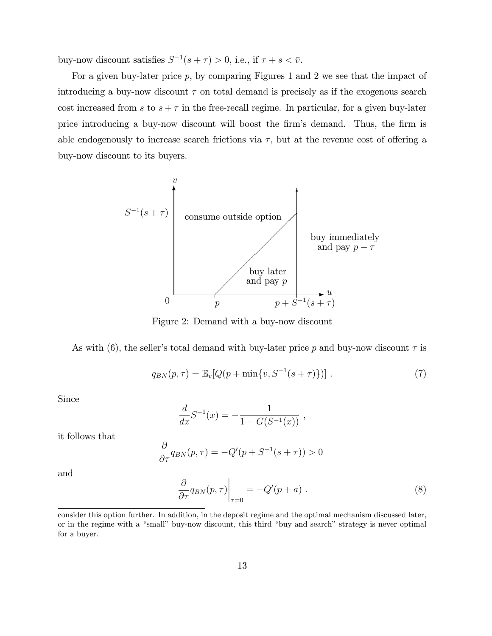buy-now discount satisfies  $S^{-1}(s + \tau) > 0$ , i.e., if  $\tau + s < \bar{v}$ .

For a given buy-later price  $p$ , by comparing Figures 1 and 2 we see that the impact of introducing a buy-now discount  $\tau$  on total demand is precisely as if the exogenous search cost increased from s to  $s + \tau$  in the free-recall regime. In particular, for a given buy-later price introducing a buy-now discount will boost the Örmís demand. Thus, the Örm is able endogenously to increase search frictions via  $\tau$ , but at the revenue cost of offering a buy-now discount to its buyers.



Figure 2: Demand with a buy-now discount

As with (6), the seller's total demand with buy-later price p and buy-now discount  $\tau$  is

$$
q_{BN}(p,\tau) = \mathbb{E}_v[Q(p+\min\{v, S^{-1}(s+\tau)\})]. \tag{7}
$$

Since

$$
\frac{d}{dx}S^{-1}(x) = -\frac{1}{1 - G(S^{-1}(x))},
$$

it follows that

$$
\frac{\partial}{\partial \tau} q_{BN}(p,\tau) = -Q'(p+S^{-1}(s+\tau)) > 0
$$

and

$$
\left. \frac{\partial}{\partial \tau} q_{BN}(p,\tau) \right|_{\tau=0} = -Q'(p+a) \ . \tag{8}
$$

consider this option further. In addition, in the deposit regime and the optimal mechanism discussed later, or in the regime with a "small" buy-now discount, this third "buy and search" strategy is never optimal for a buyer.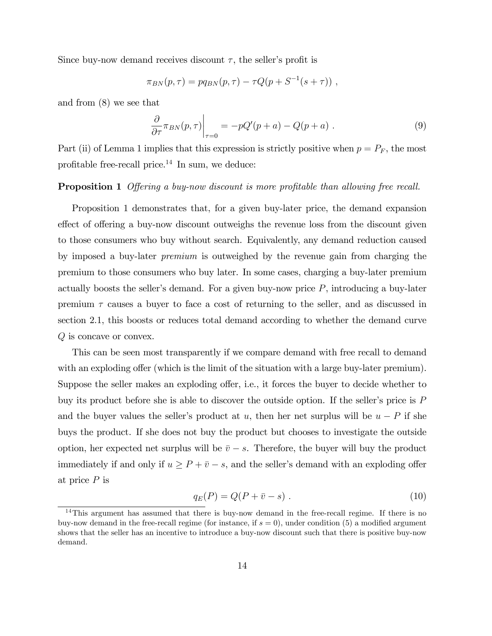Since buy-now demand receives discount  $\tau$ , the seller's profit is

$$
\pi_{BN}(p,\tau) = pq_{BN}(p,\tau) - \tau Q(p + S^{-1}(s + \tau)) ,
$$

and from (8) we see that

$$
\left. \frac{\partial}{\partial \tau} \pi_{BN}(p, \tau) \right|_{\tau=0} = -pQ'(p+a) - Q(p+a) \ . \tag{9}
$$

Part (ii) of Lemma 1 implies that this expression is strictly positive when  $p = P<sub>F</sub>$ , the most profitable free-recall price. $^{14}$  In sum, we deduce:

### Proposition 1 Offering a buy-now discount is more profitable than allowing free recall.

Proposition 1 demonstrates that, for a given buy-later price, the demand expansion effect of offering a buy-now discount outweighs the revenue loss from the discount given to those consumers who buy without search. Equivalently, any demand reduction caused by imposed a buy-later premium is outweighed by the revenue gain from charging the premium to those consumers who buy later. In some cases, charging a buy-later premium actually boosts the seller's demand. For a given buy-now price  $P$ , introducing a buy-later premium  $\tau$  causes a buyer to face a cost of returning to the seller, and as discussed in section 2.1, this boosts or reduces total demand according to whether the demand curve Q is concave or convex.

This can be seen most transparently if we compare demand with free recall to demand with an exploding offer (which is the limit of the situation with a large buy-later premium). Suppose the seller makes an exploding offer, i.e., it forces the buyer to decide whether to buy its product before she is able to discover the outside option. If the seller's price is  $P$ and the buyer values the seller's product at u, then her net surplus will be  $u - P$  if she buys the product. If she does not buy the product but chooses to investigate the outside option, her expected net surplus will be  $\bar{v} - s$ . Therefore, the buyer will buy the product immediately if and only if  $u \ge P + \overline{v} - s$ , and the seller's demand with an exploding offer at price  $P$  is

$$
q_E(P) = Q(P + \bar{v} - s) . \tag{10}
$$

 $14$ This argument has assumed that there is buy-now demand in the free-recall regime. If there is no buy-now demand in the free-recall regime (for instance, if  $s = 0$ ), under condition (5) a modified argument shows that the seller has an incentive to introduce a buy-now discount such that there is positive buy-now demand.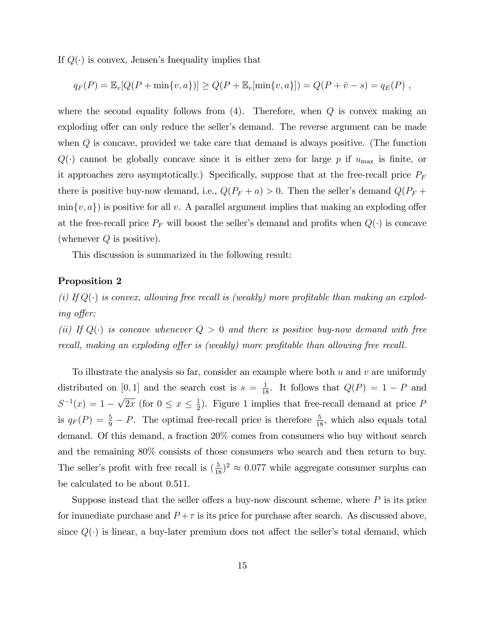If  $Q(\cdot)$  is convex, Jensen's Inequality implies that

$$
q_F(P) = \mathbb{E}_v[Q(P + \min\{v, a\})] \ge Q(P + \mathbb{E}_v[\min\{v, a\}]) = Q(P + \bar{v} - s) = q_E(P) ,
$$

where the second equality follows from  $(4)$ . Therefore, when  $Q$  is convex making an exploding offer can only reduce the seller's demand. The reverse argument can be made when  $Q$  is concave, provided we take care that demand is always positive. (The function  $Q(\cdot)$  cannot be globally concave since it is either zero for large p if  $u_{\text{max}}$  is finite, or it approaches zero asymptotically.) Specifically, suppose that at the free-recall price  $P_F$ there is positive buy-now demand, i.e.,  $Q(P_F + a) > 0$ . Then the seller's demand  $Q(P_F + a)$  $\min\{v, a\}$  is positive for all v. A parallel argument implies that making an exploding offer at the free-recall price  $P_F$  will boost the seller's demand and profits when  $Q(\cdot)$  is concave (whenever  $Q$  is positive).

This discussion is summarized in the following result:

#### Proposition 2

(i) If  $Q(\cdot)$  is convex, allowing free recall is (weakly) more profitable than making an exploding offer;

(ii) If  $Q(\cdot)$  is concave whenever  $Q > 0$  and there is positive buy-now demand with free recall, making an exploding offer is (weakly) more profitable than allowing free recall.

To illustrate the analysis so far, consider an example where both  $u$  and  $v$  are uniformly distributed on [0, 1] and the search cost is  $s = \frac{1}{18}$ . It follows that  $Q(P) = 1 - P$  and  $S^{-1}(x) = 1 - \sqrt{2x}$  (for  $0 \le x \le \frac{1}{2}$  $\frac{1}{2}$ ). Figure 1 implies that free-recall demand at price P is  $q_F(P) = \frac{5}{9} - P$ . The optimal free-recall price is therefore  $\frac{5}{18}$ , which also equals total demand. Of this demand, a fraction 20% comes from consumers who buy without search and the remaining 80% consists of those consumers who search and then return to buy. The seller's profit with free recall is  $(\frac{5}{18})^2 \approx 0.077$  while aggregate consumer surplus can be calculated to be about 0.511.

Suppose instead that the seller offers a buy-now discount scheme, where  $P$  is its price for immediate purchase and  $P + \tau$  is its price for purchase after search. As discussed above, since  $Q(\cdot)$  is linear, a buy-later premium does not affect the seller's total demand, which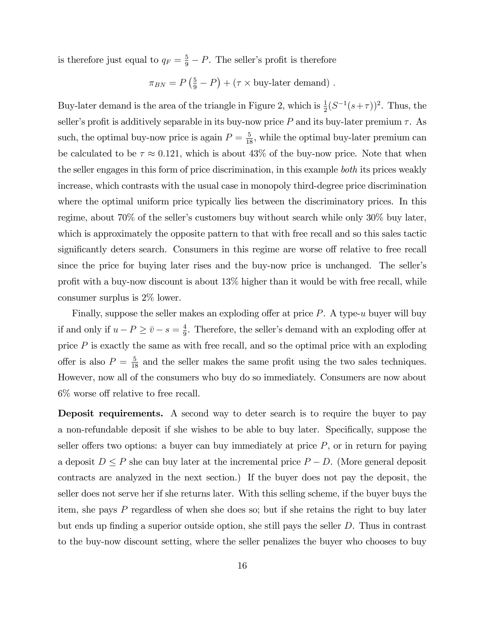is therefore just equal to  $q_F = \frac{5}{9} - P$ . The seller's profit is therefore

$$
\pi_{BN} = P\left(\frac{5}{9} - P\right) + (\tau \times \text{buy-letter demand}) \ .
$$

Buy-later demand is the area of the triangle in Figure 2, which is  $\frac{1}{2}(S^{-1}(s+\tau))^2$ . Thus, the seller's profit is additively separable in its buy-now price P and its buy-later premium  $\tau$ . As such, the optimal buy-now price is again  $P = \frac{5}{18}$ , while the optimal buy-later premium can be calculated to be  $\tau \approx 0.121$ , which is about 43% of the buy-now price. Note that when the seller engages in this form of price discrimination, in this example both its prices weakly increase, which contrasts with the usual case in monopoly third-degree price discrimination where the optimal uniform price typically lies between the discriminatory prices. In this regime, about  $70\%$  of the seller's customers buy without search while only  $30\%$  buy later, which is approximately the opposite pattern to that with free recall and so this sales tactic significantly deters search. Consumers in this regime are worse off relative to free recall since the price for buying later rises and the buy-now price is unchanged. The seller's profit with a buy-now discount is about  $13\%$  higher than it would be with free recall, while consumer surplus is 2% lower.

Finally, suppose the seller makes an exploding offer at price  $P$ . A type-u buyer will buy if and only if  $u - P \geq \bar{v} - s = \frac{4}{9}$  $\frac{4}{9}$ . Therefore, the seller's demand with an exploding offer at price  $P$  is exactly the same as with free recall, and so the optimal price with an exploding offer is also  $P = \frac{5}{18}$  and the seller makes the same profit using the two sales techniques. However, now all of the consumers who buy do so immediately. Consumers are now about  $6\%$  worse off relative to free recall.

Deposit requirements. A second way to deter search is to require the buyer to pay a non-refundable deposit if she wishes to be able to buy later. Specifically, suppose the seller offers two options: a buyer can buy immediately at price  $P$ , or in return for paying a deposit  $D \leq P$  she can buy later at the incremental price  $P - D$ . (More general deposit contracts are analyzed in the next section.) If the buyer does not pay the deposit, the seller does not serve her if she returns later. With this selling scheme, if the buyer buys the item, she pays P regardless of when she does so; but if she retains the right to buy later but ends up finding a superior outside option, she still pays the seller  $D$ . Thus in contrast to the buy-now discount setting, where the seller penalizes the buyer who chooses to buy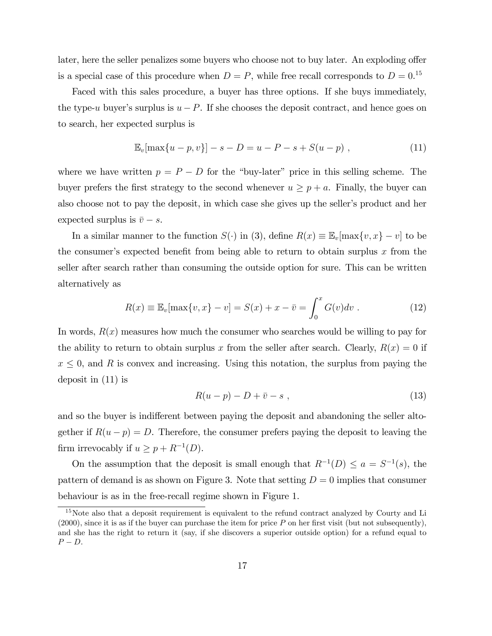later, here the seller penalizes some buyers who choose not to buy later. An exploding offer is a special case of this procedure when  $D = P$ , while free recall corresponds to  $D = 0$ .<sup>15</sup>

Faced with this sales procedure, a buyer has three options. If she buys immediately, the type-u buyer's surplus is  $u - P$ . If she chooses the deposit contract, and hence goes on to search, her expected surplus is

$$
\mathbb{E}_v[\max\{u-p, v\}] - s - D = u - P - s + S(u - p) , \qquad (11)
$$

where we have written  $p = P - D$  for the "buy-later" price in this selling scheme. The buyer prefers the first strategy to the second whenever  $u \ge p + a$ . Finally, the buyer can also choose not to pay the deposit, in which case she gives up the seller's product and her expected surplus is  $\bar{v} - s$ .

In a similar manner to the function  $S(\cdot)$  in (3), define  $R(x) \equiv \mathbb{E}_{v}[\max\{v, x\} - v]$  to be the consumer's expected benefit from being able to return to obtain surplus  $x$  from the seller after search rather than consuming the outside option for sure. This can be written alternatively as

$$
R(x) \equiv \mathbb{E}_v[\max\{v, x\} - v] = S(x) + x - \bar{v} = \int_0^x G(v)dv.
$$
 (12)

In words,  $R(x)$  measures how much the consumer who searches would be willing to pay for the ability to return to obtain surplus x from the seller after search. Clearly,  $R(x) = 0$  if  $x \leq 0$ , and R is convex and increasing. Using this notation, the surplus from paying the deposit in (11) is

$$
R(u-p) - D + \bar{v} - s \t\t(13)
$$

and so the buyer is indifferent between paying the deposit and abandoning the seller altogether if  $R(u - p) = D$ . Therefore, the consumer prefers paying the deposit to leaving the firm irrevocably if  $u \ge p + R^{-1}(D)$ .

On the assumption that the deposit is small enough that  $R^{-1}(D) \le a = S^{-1}(s)$ , the pattern of demand is as shown on Figure 3. Note that setting  $D = 0$  implies that consumer behaviour is as in the free-recall regime shown in Figure 1.

<sup>&</sup>lt;sup>15</sup>Note also that a deposit requirement is equivalent to the refund contract analyzed by Courty and Li  $(2000)$ , since it is as if the buyer can purchase the item for price P on her first visit (but not subsequently), and she has the right to return it (say, if she discovers a superior outside option) for a refund equal to  $P - D$ .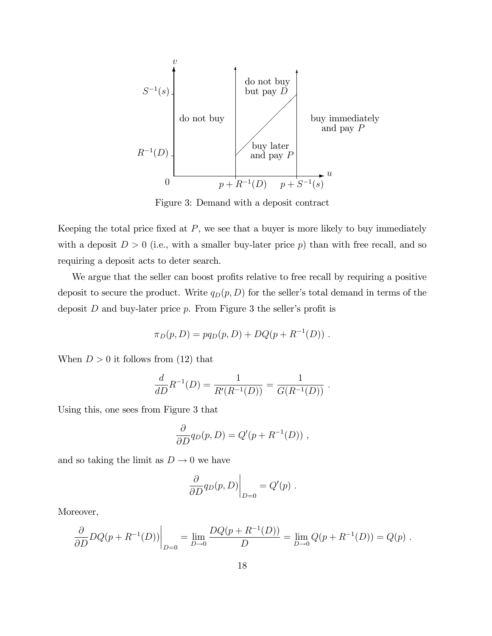

Figure 3: Demand with a deposit contract

Keeping the total price fixed at  $P$ , we see that a buyer is more likely to buy immediately with a deposit  $D > 0$  (i.e., with a smaller buy-later price p) than with free recall, and so requiring a deposit acts to deter search.

We argue that the seller can boost profits relative to free recall by requiring a positive deposit to secure the product. Write  $q_D(p, D)$  for the seller's total demand in terms of the deposit  $D$  and buy-later price  $p$ . From Figure 3 the seller's profit is

$$
\pi_D(p, D) = pq_D(p, D) + DQ(p + R^{-1}(D)) \ .
$$

When  $D > 0$  it follows from (12) that

$$
\frac{d}{dD}R^{-1}(D) = \frac{1}{R'(R^{-1}(D))} = \frac{1}{G(R^{-1}(D))}.
$$

Using this, one sees from Figure 3 that

$$
\frac{\partial}{\partial D}q_D(p, D) = Q'(p + R^{-1}(D)),
$$

and so taking the limit as  $D \to 0$  we have

$$
\left. \frac{\partial}{\partial D} q_D(p, D) \right|_{D=0} = Q'(p) .
$$

Moreover,

$$
\frac{\partial}{\partial D} DQ(p + R^{-1}(D)) \Big|_{D=0} = \lim_{D \to 0} \frac{DQ(p + R^{-1}(D))}{D} = \lim_{D \to 0} Q(p + R^{-1}(D)) = Q(p).
$$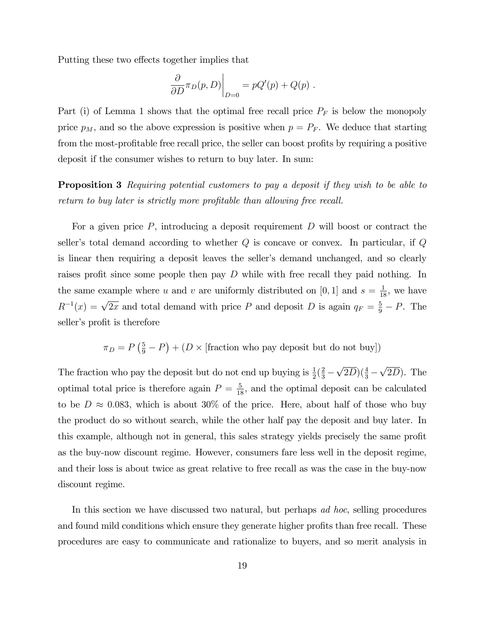Putting these two effects together implies that

$$
\left. \frac{\partial}{\partial D} \pi_D(p, D) \right|_{D=0} = pQ'(p) + Q(p) .
$$

Part (i) of Lemma 1 shows that the optimal free recall price  $P_F$  is below the monopoly price  $p_M$ , and so the above expression is positive when  $p = P_F$ . We deduce that starting from the most-profitable free recall price, the seller can boost profits by requiring a positive deposit if the consumer wishes to return to buy later. In sum:

**Proposition 3** Requiring potential customers to pay a deposit if they wish to be able to return to buy later is strictly more profitable than allowing free recall.

For a given price  $P$ , introducing a deposit requirement  $D$  will boost or contract the seller's total demand according to whether  $Q$  is concave or convex. In particular, if  $Q$ is linear then requiring a deposit leaves the seller's demand unchanged, and so clearly raises profit since some people then pay  $D$  while with free recall they paid nothing. In the same example where u and v are uniformly distributed on [0, 1] and  $s = \frac{1}{18}$ , we have  $R^{-1}(x) = \sqrt{2x}$  and total demand with price P and deposit D is again  $q_F = \frac{5}{9} - P$ . The seller's profit is therefore

 $\pi_D = P\left(\frac{5}{9} - P\right) + (D \times \text{[fraction who pay deposit but do not buy]})$ 

The fraction who pay the deposit but do not end up buying is  $\frac{1}{2}(\frac{2}{3} \sqrt{2D}$ )( $\frac{4}{3}$  –  $\sqrt{2D}$ ). The optimal total price is therefore again  $P = \frac{5}{18}$ , and the optimal deposit can be calculated to be  $D \approx 0.083$ , which is about 30% of the price. Here, about half of those who buy the product do so without search, while the other half pay the deposit and buy later. In this example, although not in general, this sales strategy yields precisely the same profit as the buy-now discount regime. However, consumers fare less well in the deposit regime, and their loss is about twice as great relative to free recall as was the case in the buy-now discount regime.

In this section we have discussed two natural, but perhaps ad hoc, selling procedures and found mild conditions which ensure they generate higher profits than free recall. These procedures are easy to communicate and rationalize to buyers, and so merit analysis in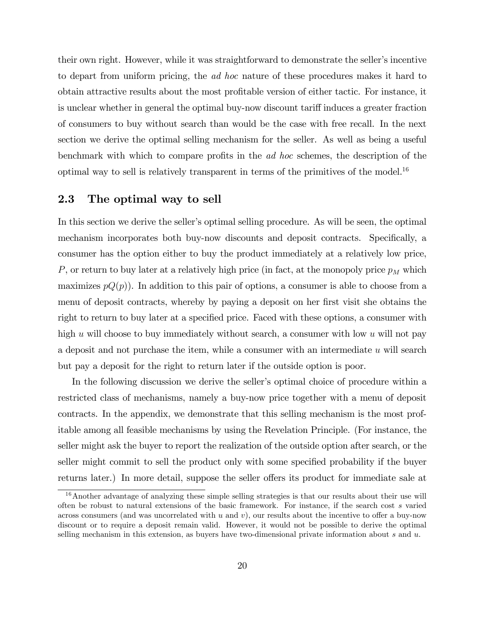their own right. However, while it was straightforward to demonstrate the seller's incentive to depart from uniform pricing, the ad hoc nature of these procedures makes it hard to obtain attractive results about the most profitable version of either tactic. For instance, it is unclear whether in general the optimal buy-now discount tariff induces a greater fraction of consumers to buy without search than would be the case with free recall. In the next section we derive the optimal selling mechanism for the seller. As well as being a useful benchmark with which to compare profits in the *ad hoc* schemes, the description of the optimal way to sell is relatively transparent in terms of the primitives of the model.<sup>16</sup>

### 2.3 The optimal way to sell

In this section we derive the seller's optimal selling procedure. As will be seen, the optimal mechanism incorporates both buy-now discounts and deposit contracts. Specifically, a consumer has the option either to buy the product immediately at a relatively low price, P, or return to buy later at a relatively high price (in fact, at the monopoly price  $p<sub>M</sub>$  which maximizes  $pQ(p)$ . In addition to this pair of options, a consumer is able to choose from a menu of deposit contracts, whereby by paying a deposit on her first visit she obtains the right to return to buy later at a specified price. Faced with these options, a consumer with high u will choose to buy immediately without search, a consumer with low u will not pay a deposit and not purchase the item, while a consumer with an intermediate  $u$  will search but pay a deposit for the right to return later if the outside option is poor.

In the following discussion we derive the seller's optimal choice of procedure within a restricted class of mechanisms, namely a buy-now price together with a menu of deposit contracts. In the appendix, we demonstrate that this selling mechanism is the most profitable among all feasible mechanisms by using the Revelation Principle. (For instance, the seller might ask the buyer to report the realization of the outside option after search, or the seller might commit to sell the product only with some specified probability if the buyer returns later.) In more detail, suppose the seller offers its product for immediate sale at

<sup>&</sup>lt;sup>16</sup> Another advantage of analyzing these simple selling strategies is that our results about their use will often be robust to natural extensions of the basic framework. For instance, if the search cost s varied across consumers (and was uncorrelated with u and v), our results about the incentive to offer a buy-now discount or to require a deposit remain valid. However, it would not be possible to derive the optimal selling mechanism in this extension, as buyers have two-dimensional private information about  $s$  and  $u$ .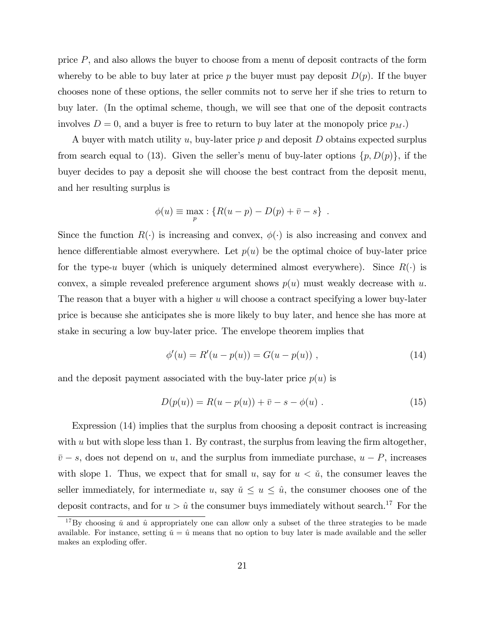price  $P$ , and also allows the buyer to choose from a menu of deposit contracts of the form whereby to be able to buy later at price p the buyer must pay deposit  $D(p)$ . If the buyer chooses none of these options, the seller commits not to serve her if she tries to return to buy later. (In the optimal scheme, though, we will see that one of the deposit contracts involves  $D = 0$ , and a buyer is free to return to buy later at the monopoly price  $p_M$ .

A buyer with match utility u, buy-later price  $p$  and deposit D obtains expected surplus from search equal to (13). Given the seller's menu of buy-later options  $\{p, D(p)\}\$ , if the buyer decides to pay a deposit she will choose the best contract from the deposit menu, and her resulting surplus is

$$
\phi(u) \equiv \max_{p} : \{ R(u - p) - D(p) + \bar{v} - s \} .
$$

Since the function  $R(\cdot)$  is increasing and convex,  $\phi(\cdot)$  is also increasing and convex and hence differentiable almost everywhere. Let  $p(u)$  be the optimal choice of buy-later price for the type-u buyer (which is uniquely determined almost everywhere). Since  $R(\cdot)$  is convex, a simple revealed preference argument shows  $p(u)$  must weakly decrease with u. The reason that a buyer with a higher  $u$  will choose a contract specifying a lower buy-later price is because she anticipates she is more likely to buy later, and hence she has more at stake in securing a low buy-later price. The envelope theorem implies that

$$
\phi'(u) = R'(u - p(u)) = G(u - p(u)), \qquad (14)
$$

and the deposit payment associated with the buy-later price  $p(u)$  is

$$
D(p(u)) = R(u - p(u)) + \bar{v} - s - \phi(u) . \tag{15}
$$

Expression (14) implies that the surplus from choosing a deposit contract is increasing with  $u$  but with slope less than 1. By contrast, the surplus from leaving the firm altogether,  $\bar{v} - s$ , does not depend on u, and the surplus from immediate purchase,  $u - P$ , increases with slope 1. Thus, we expect that for small u, say for  $u < \tilde{u}$ , the consumer leaves the seller immediately, for intermediate u, say  $\check{u} \le u \le \hat{u}$ , the consumer chooses one of the deposit contracts, and for  $u > \hat{u}$  the consumer buys immediately without search.<sup>17</sup> For the

<sup>&</sup>lt;sup>17</sup>By choosing  $\check{u}$  and  $\hat{u}$  appropriately one can allow only a subset of the three strategies to be made available. For instance, setting  $\check{u} = \hat{u}$  means that no option to buy later is made available and the seller makes an exploding offer.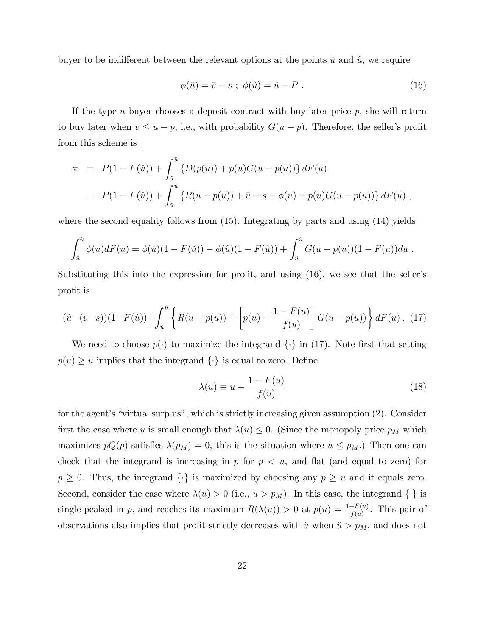buyer to be indifferent between the relevant options at the points  $\check{u}$  and  $\hat{u}$ , we require

$$
\phi(\tilde{u}) = \bar{v} - s \; ; \; \phi(\hat{u}) = \hat{u} - P \; . \tag{16}
$$

If the type-u buyer chooses a deposit contract with buy-later price  $p$ , she will return to buy later when  $v \le u - p$ , i.e., with probability  $G(u - p)$ . Therefore, the seller's profit from this scheme is

$$
\pi = P(1 - F(\hat{u})) + \int_{\tilde{u}}^{\hat{u}} \{D(p(u)) + p(u)G(u - p(u))\} dF(u)
$$
  
= 
$$
P(1 - F(\hat{u})) + \int_{\tilde{u}}^{\hat{u}} \{R(u - p(u)) + \bar{v} - s - \phi(u) + p(u)G(u - p(u))\} dF(u),
$$

where the second equality follows from  $(15)$ . Integrating by parts and using  $(14)$  yields

$$
\int_{\tilde{u}}^{\hat{u}} \phi(u) dF(u) = \phi(\check{u})(1 - F(\check{u})) - \phi(\hat{u})(1 - F(\hat{u})) + \int_{\tilde{u}}^{\hat{u}} G(u - p(u))(1 - F(u)) du.
$$

Substituting this into the expression for profit, and using  $(16)$ , we see that the seller's profit is

$$
(\hat{u} - (\bar{v} - s))(1 - F(\hat{u})) + \int_{\tilde{u}}^{\hat{u}} \left\{ R(u - p(u)) + \left[ p(u) - \frac{1 - F(u)}{f(u)} \right] G(u - p(u)) \right\} dF(u) \tag{17}
$$

We need to choose  $p(\cdot)$  to maximize the integrand  $\{\cdot\}$  in (17). Note first that setting  $p(u) \geq u$  implies that the integrand  $\{\cdot\}$  is equal to zero. Define

$$
\lambda(u) \equiv u - \frac{1 - F(u)}{f(u)}\tag{18}
$$

for the agent's "virtual surplus", which is strictly increasing given assumption (2). Consider first the case where u is small enough that  $\lambda(u) \leq 0$ . (Since the monopoly price  $p_M$  which maximizes  $pQ(p)$  satisfies  $\lambda(p_M) = 0$ , this is the situation where  $u \leq p_M$ .) Then one can check that the integrand is increasing in  $p$  for  $p \leq u$ , and flat (and equal to zero) for  $p \geq 0$ . Thus, the integrand  $\{\cdot\}$  is maximized by choosing any  $p \geq u$  and it equals zero. Second, consider the case where  $\lambda(u) > 0$  (i.e.,  $u > p_M$ ). In this case, the integrand  $\{\cdot\}$  is single-peaked in p, and reaches its maximum  $R(\lambda(u)) > 0$  at  $p(u) = \frac{1-F(u)}{f(u)}$ . This pair of observations also implies that profit strictly decreases with  $\check{u}$  when  $\check{u} > p_M$ , and does not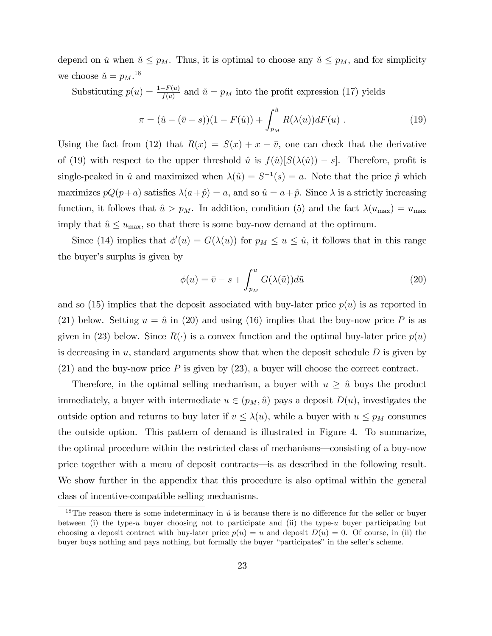depend on  $\check{u}$  when  $\check{u} \leq p_M$ . Thus, it is optimal to choose any  $\check{u} \leq p_M$ , and for simplicity we choose  $\check{u} = p_M.^{18}$ 

Substituting  $p(u) = \frac{1-F(u)}{f(u)}$  and  $\check{u} = p_M$  into the profit expression (17) yields

$$
\pi = (\hat{u} - (\bar{v} - s))(1 - F(\hat{u})) + \int_{p_M}^{\hat{u}} R(\lambda(u))dF(u) . \tag{19}
$$

Using the fact from (12) that  $R(x) = S(x) + x - \overline{v}$ , one can check that the derivative of (19) with respect to the upper threshold  $\hat{u}$  is  $f(\hat{u})[S(\lambda(\hat{u})) - s]$ . Therefore, profit is single-peaked in  $\hat{u}$  and maximized when  $\lambda(\hat{u}) = S^{-1}(s) = a$ . Note that the price  $\hat{p}$  which maximizes  $pQ(p+a)$  satisfies  $\lambda(a + \hat{p}) = a$ , and so  $\hat{u} = a + \hat{p}$ . Since  $\lambda$  is a strictly increasing function, it follows that  $\hat{u} > p_M$ . In addition, condition (5) and the fact  $\lambda(u_{\text{max}}) = u_{\text{max}}$ imply that  $\hat{u} \leq u_{\text{max}}$ , so that there is some buy-now demand at the optimum.

Since (14) implies that  $\phi'(u) = G(\lambda(u))$  for  $p_M \le u \le \hat{u}$ , it follows that in this range the buyer's surplus is given by

$$
\phi(u) = \bar{v} - s + \int_{p_M}^{u} G(\lambda(\tilde{u})) d\tilde{u}
$$
\n(20)

and so (15) implies that the deposit associated with buy-later price  $p(u)$  is as reported in (21) below. Setting  $u = \hat{u}$  in (20) and using (16) implies that the buy-now price P is as given in (23) below. Since  $R(\cdot)$  is a convex function and the optimal buy-later price  $p(u)$ is decreasing in u, standard arguments show that when the deposit schedule  $D$  is given by  $(21)$  and the buy-now price P is given by  $(23)$ , a buyer will choose the correct contract.

Therefore, in the optimal selling mechanism, a buyer with  $u \geq \hat{u}$  buys the product immediately, a buyer with intermediate  $u \in (p_M, \hat{u})$  pays a deposit  $D(u)$ , investigates the outside option and returns to buy later if  $v \leq \lambda(u)$ , while a buyer with  $u \leq p_M$  consumes the outside option. This pattern of demand is illustrated in Figure 4. To summarize, the optimal procedure within the restricted class of mechanisms—consisting of a buy-now price together with a menu of deposit contracts—is as described in the following result. We show further in the appendix that this procedure is also optimal within the general class of incentive-compatible selling mechanisms.

<sup>&</sup>lt;sup>18</sup>The reason there is some indeterminacy in  $\check{u}$  is because there is no difference for the seller or buyer between (i) the type-u buyer choosing not to participate and (ii) the type-u buyer participating but choosing a deposit contract with buy-later price  $p(u) = u$  and deposit  $D(u) = 0$ . Of course, in (ii) the buyer buys nothing and pays nothing, but formally the buyer "participates" in the seller's scheme.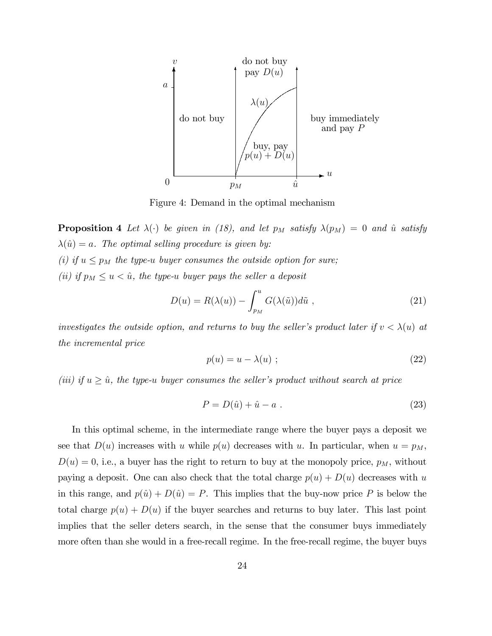

Figure 4: Demand in the optimal mechanism

**Proposition 4** Let  $\lambda(\cdot)$  be given in (18), and let  $p_M$  satisfy  $\lambda(p_M) = 0$  and  $\hat{u}$  satisfy  $\lambda(\hat{u}) = a$ . The optimal selling procedure is given by: (i) if  $u \leq p_M$  the type-u buyer consumes the outside option for sure;

(ii) if  $p_M \le u < \hat{u}$ , the type-u buyer pays the seller a deposit

$$
D(u) = R(\lambda(u)) - \int_{p_M}^{u} G(\lambda(\tilde{u})) d\tilde{u} , \qquad (21)
$$

investigates the outside option, and returns to buy the seller's product later if  $v < \lambda(u)$  at the incremental price

$$
p(u) = u - \lambda(u) \tag{22}
$$

(iii) if  $u \geq \hat{u}$ , the type-u buyer consumes the seller's product without search at price

$$
P = D(\hat{u}) + \hat{u} - a \tag{23}
$$

In this optimal scheme, in the intermediate range where the buyer pays a deposit we see that  $D(u)$  increases with u while  $p(u)$  decreases with u. In particular, when  $u = p<sub>M</sub>$ ,  $D(u) = 0$ , i.e., a buyer has the right to return to buy at the monopoly price,  $p_M$ , without paying a deposit. One can also check that the total charge  $p(u) + D(u)$  decreases with u in this range, and  $p(\hat{u}) + D(\hat{u}) = P$ . This implies that the buy-now price P is below the total charge  $p(u) + D(u)$  if the buyer searches and returns to buy later. This last point implies that the seller deters search, in the sense that the consumer buys immediately more often than she would in a free-recall regime. In the free-recall regime, the buyer buys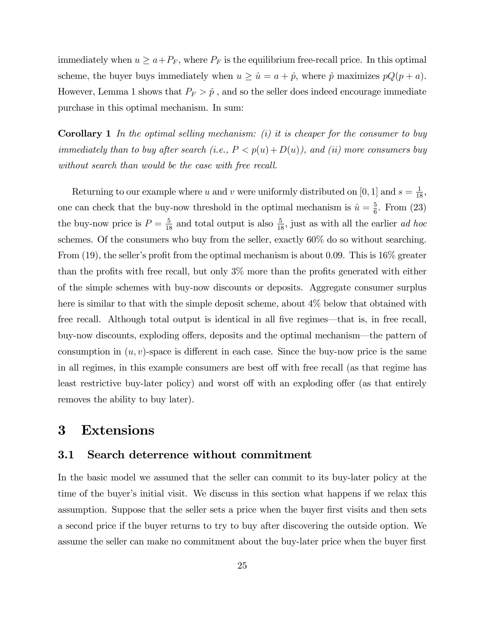immediately when  $u \ge a + P_F$ , where  $P_F$  is the equilibrium free-recall price. In this optimal scheme, the buyer buys immediately when  $u \ge \hat{u} = a + \hat{p}$ , where  $\hat{p}$  maximizes  $pQ(p + a)$ . However, Lemma 1 shows that  $P_F > \hat{p}$ , and so the seller does indeed encourage immediate purchase in this optimal mechanism. In sum:

**Corollary 1** In the optimal selling mechanism: (i) it is cheaper for the consumer to buy immediately than to buy after search (i.e.,  $P < p(u) + D(u)$ ), and (ii) more consumers buy without search than would be the case with free recall.

Returning to our example where u and v were uniformly distributed on [0, 1] and  $s = \frac{1}{18}$ , one can check that the buy-now threshold in the optimal mechanism is  $\hat{u} = \frac{5}{6}$  $\frac{5}{6}$ . From  $(23)$ the buy-now price is  $P = \frac{5}{18}$  and total output is also  $\frac{5}{18}$ , just as with all the earlier *ad hoc* schemes. Of the consumers who buy from the seller, exactly 60% do so without searching. From (19), the seller's profit from the optimal mechanism is about 0.09. This is  $16\%$  greater than the profits with free recall, but only  $3\%$  more than the profits generated with either of the simple schemes with buy-now discounts or deposits. Aggregate consumer surplus here is similar to that with the simple deposit scheme, about 4% below that obtained with free recall. Although total output is identical in all five regimes—that is, in free recall, buy-now discounts, exploding offers, deposits and the optimal mechanism—the pattern of consumption in  $(u, v)$ -space is different in each case. Since the buy-now price is the same in all regimes, in this example consumers are best off with free recall (as that regime has least restrictive buy-later policy) and worst off with an exploding offer (as that entirely removes the ability to buy later).

### 3 Extensions

### 3.1 Search deterrence without commitment

In the basic model we assumed that the seller can commit to its buy-later policy at the time of the buyer's initial visit. We discuss in this section what happens if we relax this assumption. Suppose that the seller sets a price when the buyer first visits and then sets a second price if the buyer returns to try to buy after discovering the outside option. We assume the seller can make no commitment about the buy-later price when the buyer first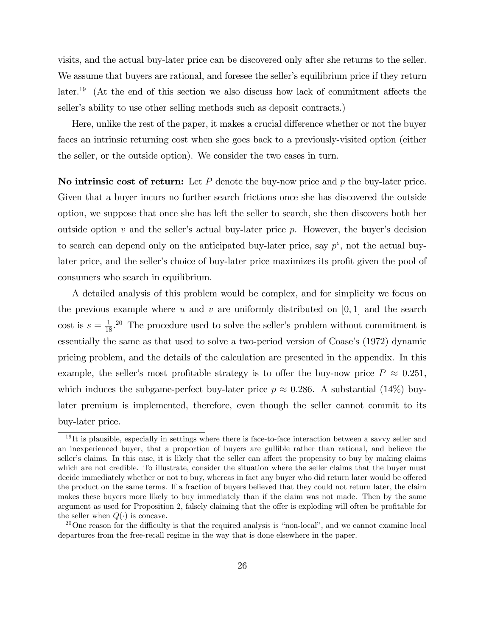visits, and the actual buy-later price can be discovered only after she returns to the seller. We assume that buyers are rational, and foresee the seller's equilibrium price if they return  $\text{later.}^{19}$  (At the end of this section we also discuss how lack of commitment affects the seller's ability to use other selling methods such as deposit contracts.)

Here, unlike the rest of the paper, it makes a crucial difference whether or not the buyer faces an intrinsic returning cost when she goes back to a previously-visited option (either the seller, or the outside option). We consider the two cases in turn.

No intrinsic cost of return: Let  $P$  denote the buy-now price and  $p$  the buy-later price. Given that a buyer incurs no further search frictions once she has discovered the outside option, we suppose that once she has left the seller to search, she then discovers both her outside option  $v$  and the seller's actual buy-later price  $p$ . However, the buyer's decision to search can depend only on the anticipated buy-later price, say  $p^e$ , not the actual buylater price, and the seller's choice of buy-later price maximizes its profit given the pool of consumers who search in equilibrium.

A detailed analysis of this problem would be complex, and for simplicity we focus on the previous example where u and v are uniformly distributed on  $[0,1]$  and the search cost is  $s = \frac{1}{18}$ .<sup>20</sup> The procedure used to solve the seller's problem without commitment is essentially the same as that used to solve a two-period version of Coase's (1972) dynamic pricing problem, and the details of the calculation are presented in the appendix. In this example, the seller's most profitable strategy is to offer the buy-now price  $P \approx 0.251$ , which induces the subgame-perfect buy-later price  $p \approx 0.286$ . A substantial (14%) buylater premium is implemented, therefore, even though the seller cannot commit to its buy-later price.

 $19$ It is plausible, especially in settings where there is face-to-face interaction between a savvy seller and an inexperienced buyer, that a proportion of buyers are gullible rather than rational, and believe the seller's claims. In this case, it is likely that the seller can affect the propensity to buy by making claims which are not credible. To illustrate, consider the situation where the seller claims that the buyer must decide immediately whether or not to buy, whereas in fact any buyer who did return later would be offered the product on the same terms. If a fraction of buyers believed that they could not return later, the claim makes these buyers more likely to buy immediately than if the claim was not made. Then by the same argument as used for Proposition 2, falsely claiming that the offer is exploding will often be profitable for the seller when  $Q(\cdot)$  is concave.

 $20$ One reason for the difficulty is that the required analysis is "non-local", and we cannot examine local departures from the free-recall regime in the way that is done elsewhere in the paper.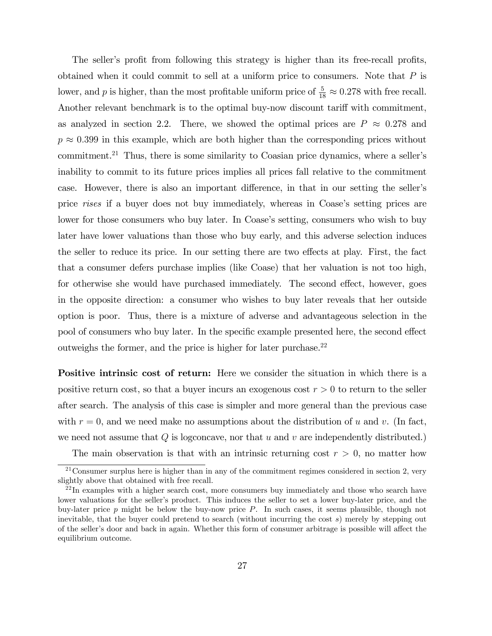The seller's profit from following this strategy is higher than its free-recall profits, obtained when it could commit to sell at a uniform price to consumers. Note that  $P$  is lower, and p is higher, than the most profitable uniform price of  $\frac{5}{18} \approx 0.278$  with free recall. Another relevant benchmark is to the optimal buy-now discount tariff with commitment, as analyzed in section 2.2. There, we showed the optimal prices are  $P \approx 0.278$  and  $p \approx 0.399$  in this example, which are both higher than the corresponding prices without commitment.<sup>21</sup> Thus, there is some similarity to Coasian price dynamics, where a seller's inability to commit to its future prices implies all prices fall relative to the commitment case. However, there is also an important difference, in that in our setting the seller's price rises if a buyer does not buy immediately, whereas in Coase's setting prices are lower for those consumers who buy later. In Coase's setting, consumers who wish to buy later have lower valuations than those who buy early, and this adverse selection induces the seller to reduce its price. In our setting there are two effects at play. First, the fact that a consumer defers purchase implies (like Coase) that her valuation is not too high, for otherwise she would have purchased immediately. The second effect, however, goes in the opposite direction: a consumer who wishes to buy later reveals that her outside option is poor. Thus, there is a mixture of adverse and advantageous selection in the pool of consumers who buy later. In the specific example presented here, the second effect outweighs the former, and the price is higher for later purchase.<sup>22</sup>

Positive intrinsic cost of return: Here we consider the situation in which there is a positive return cost, so that a buyer incurs an exogenous cost  $r > 0$  to return to the seller after search. The analysis of this case is simpler and more general than the previous case with  $r = 0$ , and we need make no assumptions about the distribution of u and v. (In fact, we need not assume that  $Q$  is logconcave, nor that  $u$  and  $v$  are independently distributed.)

The main observation is that with an intrinsic returning cost  $r > 0$ , no matter how

 $21$ Consumer surplus here is higher than in any of the commitment regimes considered in section 2, very slightly above that obtained with free recall.

 $^{22}$ In examples with a higher search cost, more consumers buy immediately and those who search have lower valuations for the seller's product. This induces the seller to set a lower buy-later price, and the buy-later price  $p$  might be below the buy-now price  $P$ . In such cases, it seems plausible, though not inevitable, that the buyer could pretend to search (without incurring the cost s) merely by stepping out of the seller's door and back in again. Whether this form of consumer arbitrage is possible will affect the equilibrium outcome.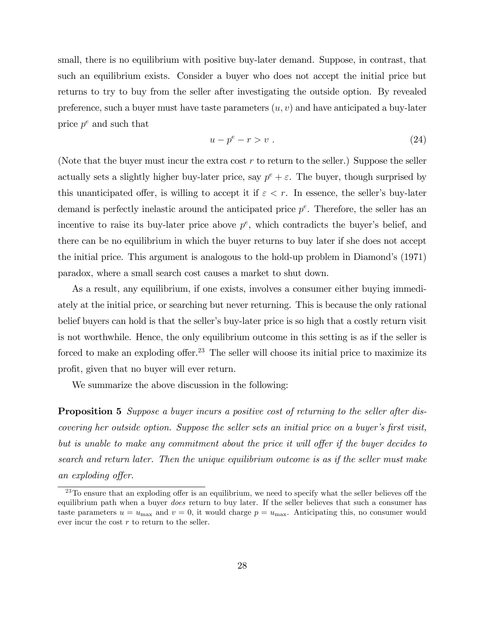small, there is no equilibrium with positive buy-later demand. Suppose, in contrast, that such an equilibrium exists. Consider a buyer who does not accept the initial price but returns to try to buy from the seller after investigating the outside option. By revealed preference, such a buyer must have taste parameters  $(u, v)$  and have anticipated a buy-later price  $p^e$  and such that

$$
u - pe - r > v . \t\t(24)
$$

(Note that the buyer must incur the extra cost  $r$  to return to the seller.) Suppose the seller actually sets a slightly higher buy-later price, say  $p^e + \varepsilon$ . The buyer, though surprised by this unanticipated offer, is willing to accept it if  $\varepsilon < r$ . In essence, the seller's buy-later demand is perfectly inelastic around the anticipated price  $p^e$ . Therefore, the seller has an incentive to raise its buy-later price above  $p^e$ , which contradicts the buyer's belief, and there can be no equilibrium in which the buyer returns to buy later if she does not accept the initial price. This argument is analogous to the hold-up problem in Diamond's (1971) paradox, where a small search cost causes a market to shut down.

As a result, any equilibrium, if one exists, involves a consumer either buying immediately at the initial price, or searching but never returning. This is because the only rational belief buyers can hold is that the seller's buy-later price is so high that a costly return visit is not worthwhile. Hence, the only equilibrium outcome in this setting is as if the seller is forced to make an exploding offer.<sup>23</sup> The seller will choose its initial price to maximize its profit, given that no buyer will ever return.

We summarize the above discussion in the following:

Proposition 5 Suppose a buyer incurs a positive cost of returning to the seller after discovering her outside option. Suppose the seller sets an initial price on a buyer's first visit, but is unable to make any commitment about the price it will offer if the buyer decides to search and return later. Then the unique equilibrium outcome is as if the seller must make an exploding offer.

 $^{23}$ To ensure that an exploding offer is an equilibrium, we need to specify what the seller believes off the equilibrium path when a buyer does return to buy later. If the seller believes that such a consumer has taste parameters  $u = u_{\text{max}}$  and  $v = 0$ , it would charge  $p = u_{\text{max}}$ . Anticipating this, no consumer would ever incur the cost  $r$  to return to the seller.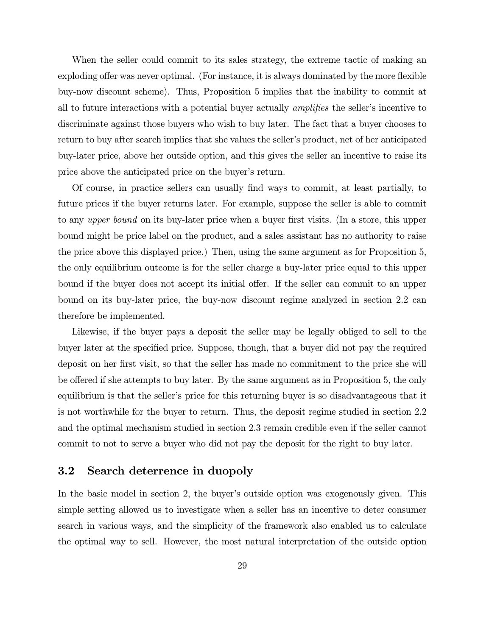When the seller could commit to its sales strategy, the extreme tactic of making an exploding offer was never optimal. (For instance, it is always dominated by the more flexible buy-now discount scheme). Thus, Proposition 5 implies that the inability to commit at all to future interactions with a potential buyer actually *amplifies* the seller's incentive to discriminate against those buyers who wish to buy later. The fact that a buyer chooses to return to buy after search implies that she values the seller's product, net of her anticipated buy-later price, above her outside option, and this gives the seller an incentive to raise its price above the anticipated price on the buyer's return.

Of course, in practice sellers can usually Önd ways to commit, at least partially, to future prices if the buyer returns later. For example, suppose the seller is able to commit to any *upper bound* on its buy-later price when a buyer first visits. (In a store, this upper bound might be price label on the product, and a sales assistant has no authority to raise the price above this displayed price.) Then, using the same argument as for Proposition 5, the only equilibrium outcome is for the seller charge a buy-later price equal to this upper bound if the buyer does not accept its initial offer. If the seller can commit to an upper bound on its buy-later price, the buy-now discount regime analyzed in section 2.2 can therefore be implemented.

Likewise, if the buyer pays a deposit the seller may be legally obliged to sell to the buyer later at the specified price. Suppose, though, that a buyer did not pay the required deposit on her first visit, so that the seller has made no commitment to the price she will be offered if she attempts to buy later. By the same argument as in Proposition 5, the only equilibrium is that the seller's price for this returning buyer is so disadvantageous that it is not worthwhile for the buyer to return. Thus, the deposit regime studied in section 2.2 and the optimal mechanism studied in section 2.3 remain credible even if the seller cannot commit to not to serve a buyer who did not pay the deposit for the right to buy later.

#### 3.2 Search deterrence in duopoly

In the basic model in section 2, the buyer's outside option was exogenously given. This simple setting allowed us to investigate when a seller has an incentive to deter consumer search in various ways, and the simplicity of the framework also enabled us to calculate the optimal way to sell. However, the most natural interpretation of the outside option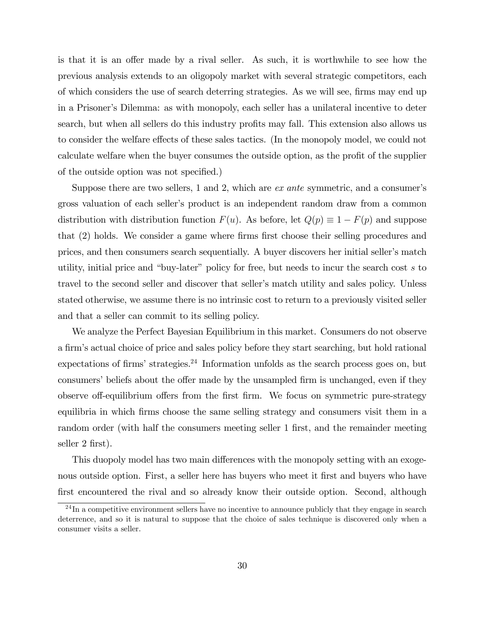is that it is an offer made by a rival seller. As such, it is worthwhile to see how the previous analysis extends to an oligopoly market with several strategic competitors, each of which considers the use of search deterring strategies. As we will see, firms may end up in a Prisonerís Dilemma: as with monopoly, each seller has a unilateral incentive to deter search, but when all sellers do this industry profits may fall. This extension also allows us to consider the welfare effects of these sales tactics. (In the monopoly model, we could not calculate welfare when the buyer consumes the outside option, as the profit of the supplier of the outside option was not specified.)

Suppose there are two sellers, 1 and 2, which are  $ex$  ante symmetric, and a consumer's gross valuation of each sellerís product is an independent random draw from a common distribution with distribution function  $F(u)$ . As before, let  $Q(p) \equiv 1 - F(p)$  and suppose that (2) holds. We consider a game where firms first choose their selling procedures and prices, and then consumers search sequentially. A buyer discovers her initial seller's match utility, initial price and "buy-later" policy for free, but needs to incur the search cost  $s$  to travel to the second seller and discover that seller's match utility and sales policy. Unless stated otherwise, we assume there is no intrinsic cost to return to a previously visited seller and that a seller can commit to its selling policy.

We analyze the Perfect Bayesian Equilibrium in this market. Consumers do not observe a firm's actual choice of price and sales policy before they start searching, but hold rational expectations of firms' strategies.<sup>24</sup> Information unfolds as the search process goes on, but consumers' beliefs about the offer made by the unsampled firm is unchanged, even if they observe off-equilibrium offers from the first firm. We focus on symmetric pure-strategy equilibria in which firms choose the same selling strategy and consumers visit them in a random order (with half the consumers meeting seller 1 first, and the remainder meeting seller 2 first).

This duopoly model has two main differences with the monopoly setting with an exogenous outside option. First, a seller here has buyers who meet it first and buyers who have first encountered the rival and so already know their outside option. Second, although

 $^{24}$ In a competitive environment sellers have no incentive to announce publicly that they engage in search deterrence, and so it is natural to suppose that the choice of sales technique is discovered only when a consumer visits a seller.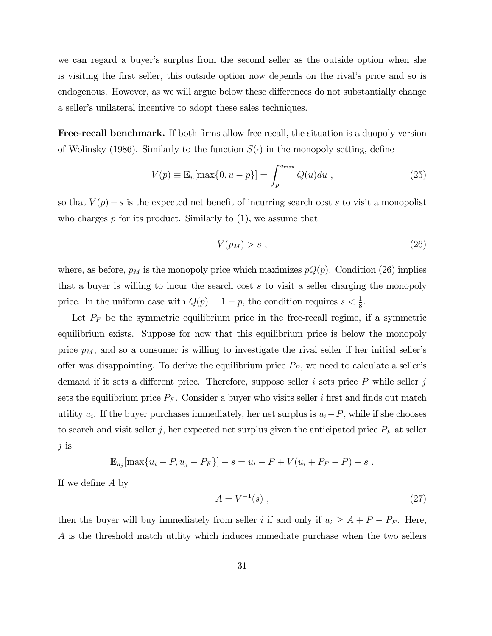we can regard a buyer's surplus from the second seller as the outside option when she is visiting the first seller, this outside option now depends on the rival's price and so is endogenous. However, as we will argue below these differences do not substantially change a seller's unilateral incentive to adopt these sales techniques.

**Free-recall benchmark.** If both firms allow free recall, the situation is a duopoly version of Wolinsky (1986). Similarly to the function  $S(\cdot)$  in the monopoly setting, define

$$
V(p) \equiv \mathbb{E}_u[\max\{0, u - p\}] = \int_p^{u_{\max}} Q(u) du , \qquad (25)
$$

so that  $V(p) - s$  is the expected net benefit of incurring search cost s to visit a monopolist who charges  $p$  for its product. Similarly to  $(1)$ , we assume that

$$
V(p_M) > s \tag{26}
$$

where, as before,  $p_M$  is the monopoly price which maximizes  $pQ(p)$ . Condition (26) implies that a buyer is willing to incur the search cost s to visit a seller charging the monopoly price. In the uniform case with  $Q(p) = 1 - p$ , the condition requires  $s < \frac{1}{8}$ .

Let  $P_F$  be the symmetric equilibrium price in the free-recall regime, if a symmetric equilibrium exists. Suppose for now that this equilibrium price is below the monopoly price  $p_M$ , and so a consumer is willing to investigate the rival seller if her initial seller's offer was disappointing. To derive the equilibrium price  $P_F$ , we need to calculate a seller's demand if it sets a different price. Therefore, suppose seller i sets price  $P$  while seller j sets the equilibrium price  $P_F$ . Consider a buyer who visits seller i first and finds out match utility  $u_i$ . If the buyer purchases immediately, her net surplus is  $u_i-P$ , while if she chooses to search and visit seller j, her expected net surplus given the anticipated price  $P_F$  at seller  $j$  is

$$
\mathbb{E}_{u_j}[\max\{u_i - P, u_j - P_F\}] - s = u_i - P + V(u_i + P_F - P) - s.
$$

If we define  $A$  by

$$
A = V^{-1}(s) \tag{27}
$$

then the buyer will buy immediately from seller i if and only if  $u_i \geq A + P - P_F$ . Here, A is the threshold match utility which induces immediate purchase when the two sellers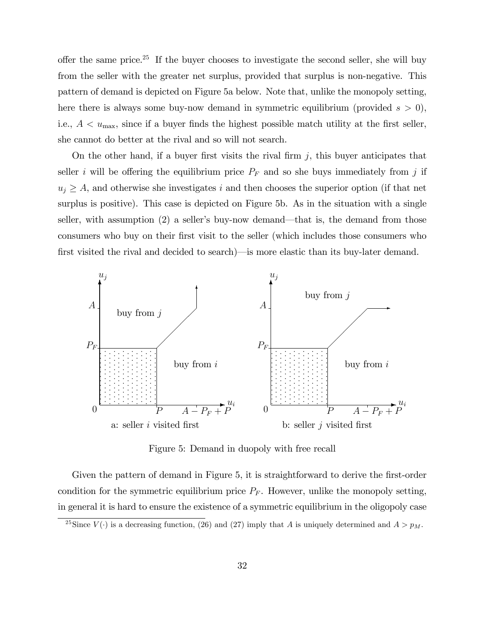offer the same price.<sup>25</sup> If the buyer chooses to investigate the second seller, she will buy from the seller with the greater net surplus, provided that surplus is non-negative. This pattern of demand is depicted on Figure 5a below. Note that, unlike the monopoly setting, here there is always some buy-now demand in symmetric equilibrium (provided  $s > 0$ ), i.e.,  $A < u_{\text{max}}$ , since if a buyer finds the highest possible match utility at the first seller, she cannot do better at the rival and so will not search.

On the other hand, if a buyer first visits the rival firm  $j$ , this buyer anticipates that seller i will be offering the equilibrium price  $P_F$  and so she buys immediately from j if  $u_j \geq A$ , and otherwise she investigates i and then chooses the superior option (if that net surplus is positive). This case is depicted on Figure 5b. As in the situation with a single seller, with assumption  $(2)$  a seller's buy-now demand—that is, the demand from those consumers who buy on their first visit to the seller (which includes those consumers who first visited the rival and decided to search)—is more elastic than its buy-later demand.



Figure 5: Demand in duopoly with free recall

Given the pattern of demand in Figure 5, it is straightforward to derive the first-order condition for the symmetric equilibrium price  $P_F$ . However, unlike the monopoly setting, in general it is hard to ensure the existence of a symmetric equilibrium in the oligopoly case

<sup>&</sup>lt;sup>25</sup>Since  $V(\cdot)$  is a decreasing function, (26) and (27) imply that A is uniquely determined and  $A > p_M$ .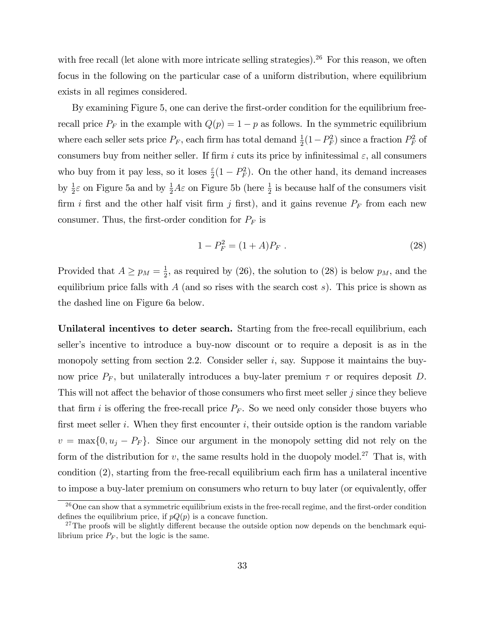with free recall (let alone with more intricate selling strategies).<sup>26</sup> For this reason, we often focus in the following on the particular case of a uniform distribution, where equilibrium exists in all regimes considered.

By examining Figure 5, one can derive the first-order condition for the equilibrium freerecall price  $P_F$  in the example with  $Q(p) = 1 - p$  as follows. In the symmetric equilibrium where each seller sets price  $P_F$ , each firm has total demand  $\frac{1}{2}(1-P_F^2)$  since a fraction  $P_F^2$  of consumers buy from neither seller. If firm i cuts its price by infinitessimal  $\varepsilon$ , all consumers who buy from it pay less, so it loses  $\frac{\varepsilon}{2}(1 - P_F^2)$ . On the other hand, its demand increases by  $\frac{1}{2}\varepsilon$  on Figure 5a and by  $\frac{1}{2}A\varepsilon$  on Figure 5b (here  $\frac{1}{2}$  is because half of the consumers visit firm i first and the other half visit firm j first), and it gains revenue  $P_F$  from each new consumer. Thus, the first-order condition for  $P_F$  is

$$
1 - P_F^2 = (1 + A)P_F \tag{28}
$$

Provided that  $A \geq p_M = \frac{1}{2}$  $\frac{1}{2}$ , as required by (26), the solution to (28) is below  $p_M$ , and the equilibrium price falls with  $A$  (and so rises with the search cost s). This price is shown as the dashed line on Figure 6a below.

Unilateral incentives to deter search. Starting from the free-recall equilibrium, each seller's incentive to introduce a buy-now discount or to require a deposit is as in the monopoly setting from section 2.2. Consider seller  $i$ , say. Suppose it maintains the buynow price  $P_F$ , but unilaterally introduces a buy-later premium  $\tau$  or requires deposit D. This will not affect the behavior of those consumers who first meet seller j since they believe that firm i is offering the free-recall price  $P_F$ . So we need only consider those buyers who first meet seller i. When they first encounter i, their outside option is the random variable  $v = \max\{0, u_j - P_F\}.$  Since our argument in the monopoly setting did not rely on the form of the distribution for  $v$ , the same results hold in the duopoly model.<sup>27</sup> That is, with condition  $(2)$ , starting from the free-recall equilibrium each firm has a unilateral incentive to impose a buy-later premium on consumers who return to buy later (or equivalently, offer

 $26$ One can show that a symmetric equilibrium exists in the free-recall regime, and the first-order condition defines the equilibrium price, if  $pQ(p)$  is a concave function.

 $27$ The proofs will be slightly different because the outside option now depends on the benchmark equilibrium price  $P_F$ , but the logic is the same.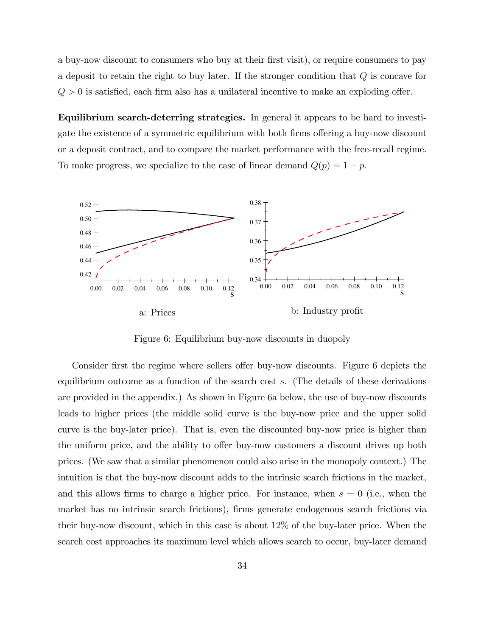a buy-now discount to consumers who buy at their first visit), or require consumers to pay a deposit to retain the right to buy later. If the stronger condition that Q is concave for  $Q > 0$  is satisfied, each firm also has a unilateral incentive to make an exploding offer.

Equilibrium search-deterring strategies. In general it appears to be hard to investigate the existence of a symmetric equilibrium with both firms offering a buy-now discount or a deposit contract, and to compare the market performance with the free-recall regime. To make progress, we specialize to the case of linear demand  $Q(p) = 1 - p$ .



Figure 6: Equilibrium buy-now discounts in duopoly

Consider first the regime where sellers offer buy-now discounts. Figure 6 depicts the equilibrium outcome as a function of the search cost s. (The details of these derivations are provided in the appendix.) As shown in Figure 6a below, the use of buy-now discounts leads to higher prices (the middle solid curve is the buy-now price and the upper solid curve is the buy-later price). That is, even the discounted buy-now price is higher than the uniform price, and the ability to offer buy-now customers a discount drives up both prices. (We saw that a similar phenomenon could also arise in the monopoly context.) The intuition is that the buy-now discount adds to the intrinsic search frictions in the market, and this allows firms to charge a higher price. For instance, when  $s = 0$  (i.e., when the market has no intrinsic search frictions), firms generate endogenous search frictions via their buy-now discount, which in this case is about 12% of the buy-later price. When the search cost approaches its maximum level which allows search to occur, buy-later demand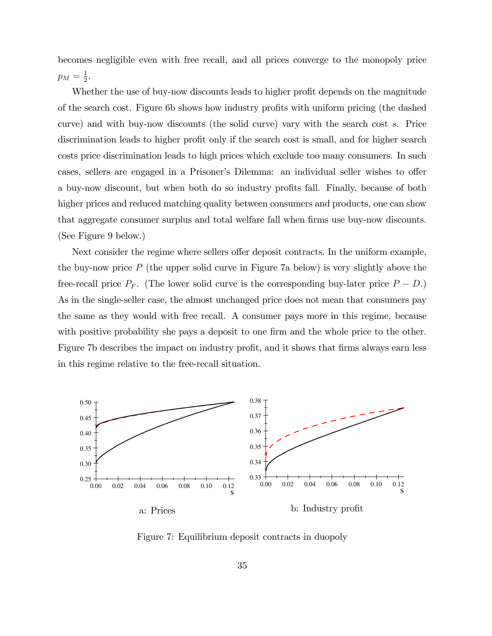becomes negligible even with free recall, and all prices converge to the monopoly price  $p_M=\frac{1}{2}$  $\frac{1}{2}$ .

Whether the use of buy-now discounts leads to higher profit depends on the magnitude of the search cost. Figure 6b shows how industry profits with uniform pricing (the dashed curve) and with buy-now discounts (the solid curve) vary with the search cost s. Price discrimination leads to higher profit only if the search cost is small, and for higher search costs price discrimination leads to high prices which exclude too many consumers. In such cases, sellers are engaged in a Prisoner's Dilemma: an individual seller wishes to offer a buy-now discount, but when both do so industry profits fall. Finally, because of both higher prices and reduced matching quality between consumers and products, one can show that aggregate consumer surplus and total welfare fall when firms use buy-now discounts. (See Figure 9 below.)

Next consider the regime where sellers offer deposit contracts. In the uniform example, the buy-now price P (the upper solid curve in Figure 7a below) is very slightly above the free-recall price  $P_F$ . (The lower solid curve is the corresponding buy-later price  $P - D$ .) As in the single-seller case, the almost unchanged price does not mean that consumers pay the same as they would with free recall. A consumer pays more in this regime, because with positive probability she pays a deposit to one firm and the whole price to the other. Figure 7b describes the impact on industry profit, and it shows that firms always earn less in this regime relative to the free-recall situation.



Figure 7: Equilibrium deposit contracts in duopoly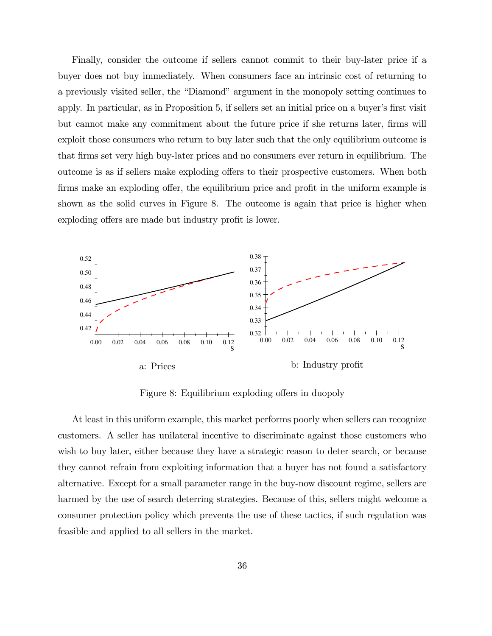Finally, consider the outcome if sellers cannot commit to their buy-later price if a buyer does not buy immediately. When consumers face an intrinsic cost of returning to a previously visited seller, the "Diamond" argument in the monopoly setting continues to apply. In particular, as in Proposition 5, if sellers set an initial price on a buyer's first visit but cannot make any commitment about the future price if she returns later, firms will exploit those consumers who return to buy later such that the only equilibrium outcome is that Örms set very high buy-later prices and no consumers ever return in equilibrium. The outcome is as if sellers make exploding offers to their prospective customers. When both firms make an exploding offer, the equilibrium price and profit in the uniform example is shown as the solid curves in Figure 8. The outcome is again that price is higher when exploding offers are made but industry profit is lower.



Figure 8: Equilibrium exploding offers in duopoly

At least in this uniform example, this market performs poorly when sellers can recognize customers. A seller has unilateral incentive to discriminate against those customers who wish to buy later, either because they have a strategic reason to deter search, or because they cannot refrain from exploiting information that a buyer has not found a satisfactory alternative. Except for a small parameter range in the buy-now discount regime, sellers are harmed by the use of search deterring strategies. Because of this, sellers might welcome a consumer protection policy which prevents the use of these tactics, if such regulation was feasible and applied to all sellers in the market.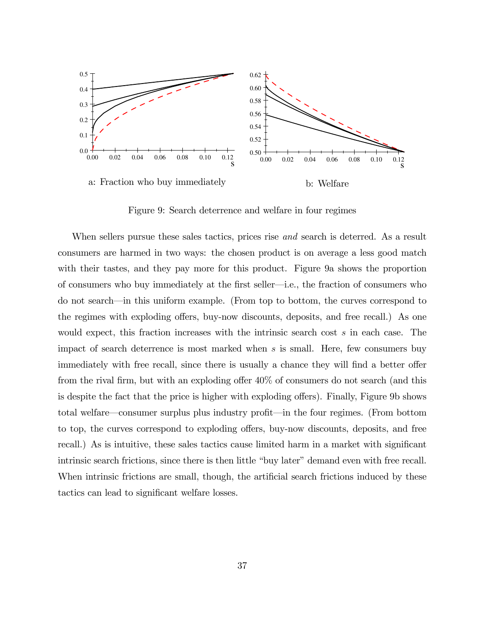

Figure 9: Search deterrence and welfare in four regimes

When sellers pursue these sales tactics, prices rise *and* search is deterred. As a result consumers are harmed in two ways: the chosen product is on average a less good match with their tastes, and they pay more for this product. Figure 9a shows the proportion of consumers who buy immediately at the first seller—i.e., the fraction of consumers who do not search—in this uniform example. (From top to bottom, the curves correspond to the regimes with exploding offers, buy-now discounts, deposits, and free recall.) As one would expect, this fraction increases with the intrinsic search cost s in each case. The impact of search deterrence is most marked when s is small. Here, few consumers buy immediately with free recall, since there is usually a chance they will find a better offer from the rival firm, but with an exploding offer  $40\%$  of consumers do not search (and this is despite the fact that the price is higher with exploding offers). Finally, Figure 9b shows total welfare—consumer surplus plus industry profit—in the four regimes. (From bottom to top, the curves correspond to exploding offers, buy-now discounts, deposits, and free recall.) As is intuitive, these sales tactics cause limited harm in a market with significant intrinsic search frictions, since there is then little "buy later" demand even with free recall. When intrinsic frictions are small, though, the artificial search frictions induced by these tactics can lead to significant welfare losses.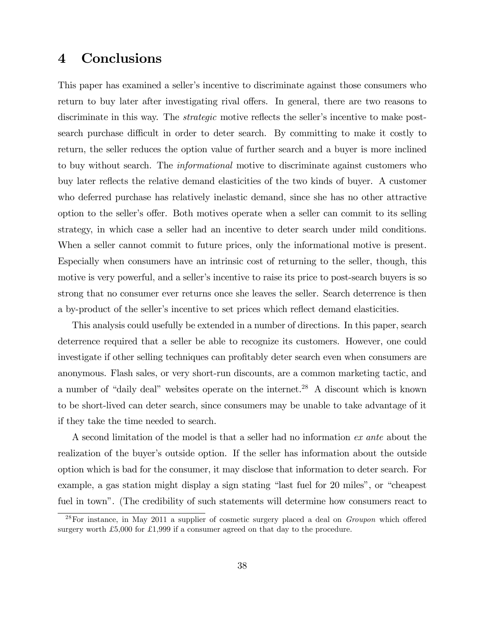# 4 Conclusions

This paper has examined a seller's incentive to discriminate against those consumers who return to buy later after investigating rival offers. In general, there are two reasons to discriminate in this way. The *strategic* motive reflects the seller's incentive to make postsearch purchase difficult in order to deter search. By committing to make it costly to return, the seller reduces the option value of further search and a buyer is more inclined to buy without search. The *informational* motive to discriminate against customers who buy later reflects the relative demand elasticities of the two kinds of buyer. A customer who deferred purchase has relatively inelastic demand, since she has no other attractive option to the seller's offer. Both motives operate when a seller can commit to its selling strategy, in which case a seller had an incentive to deter search under mild conditions. When a seller cannot commit to future prices, only the informational motive is present. Especially when consumers have an intrinsic cost of returning to the seller, though, this motive is very powerful, and a seller's incentive to raise its price to post-search buyers is so strong that no consumer ever returns once she leaves the seller. Search deterrence is then a by-product of the seller's incentive to set prices which reflect demand elasticities.

This analysis could usefully be extended in a number of directions. In this paper, search deterrence required that a seller be able to recognize its customers. However, one could investigate if other selling techniques can profitably deter search even when consumers are anonymous. Flash sales, or very short-run discounts, are a common marketing tactic, and a number of "daily deal" websites operate on the internet.<sup>28</sup> A discount which is known to be short-lived can deter search, since consumers may be unable to take advantage of it if they take the time needed to search.

A second limitation of the model is that a seller had no information ex ante about the realization of the buyer's outside option. If the seller has information about the outside option which is bad for the consumer, it may disclose that information to deter search. For example, a gas station might display a sign stating "last fuel for 20 miles", or "cheapest" fuel in town". (The credibility of such statements will determine how consumers react to

 $^{28}$ For instance, in May 2011 a supplier of cosmetic surgery placed a deal on *Groupon* which offered surgery worth £5,000 for £1,999 if a consumer agreed on that day to the procedure.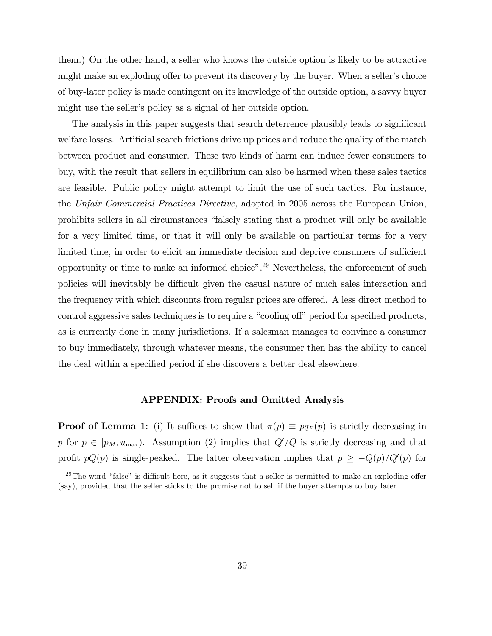them.) On the other hand, a seller who knows the outside option is likely to be attractive might make an exploding offer to prevent its discovery by the buyer. When a seller's choice of buy-later policy is made contingent on its knowledge of the outside option, a savvy buyer might use the seller's policy as a signal of her outside option.

The analysis in this paper suggests that search deterrence plausibly leads to significant welfare losses. Artificial search frictions drive up prices and reduce the quality of the match between product and consumer. These two kinds of harm can induce fewer consumers to buy, with the result that sellers in equilibrium can also be harmed when these sales tactics are feasible. Public policy might attempt to limit the use of such tactics. For instance, the Unfair Commercial Practices Directive, adopted in 2005 across the European Union, prohibits sellers in all circumstances "falsely stating that a product will only be available for a very limited time, or that it will only be available on particular terms for a very limited time, in order to elicit an immediate decision and deprive consumers of sufficient opportunity or time to make an informed choice".<sup>29</sup> Nevertheless, the enforcement of such policies will inevitably be difficult given the casual nature of much sales interaction and the frequency with which discounts from regular prices are offered. A less direct method to control aggressive sales techniques is to require a "cooling off" period for specified products, as is currently done in many jurisdictions. If a salesman manages to convince a consumer to buy immediately, through whatever means, the consumer then has the ability to cancel the deal within a specified period if she discovers a better deal elsewhere.

### APPENDIX: Proofs and Omitted Analysis

**Proof of Lemma 1**: (i) It suffices to show that  $\pi(p) \equiv pq_F(p)$  is strictly decreasing in p for  $p \in [p_M, u_{\text{max}}]$ . Assumption (2) implies that  $Q'/Q$  is strictly decreasing and that profit  $pQ(p)$  is single-peaked. The latter observation implies that  $p \ge -Q(p)/Q'(p)$  for

<sup>&</sup>lt;sup>29</sup>The word "false" is difficult here, as it suggests that a seller is permitted to make an exploding offer (say), provided that the seller sticks to the promise not to sell if the buyer attempts to buy later.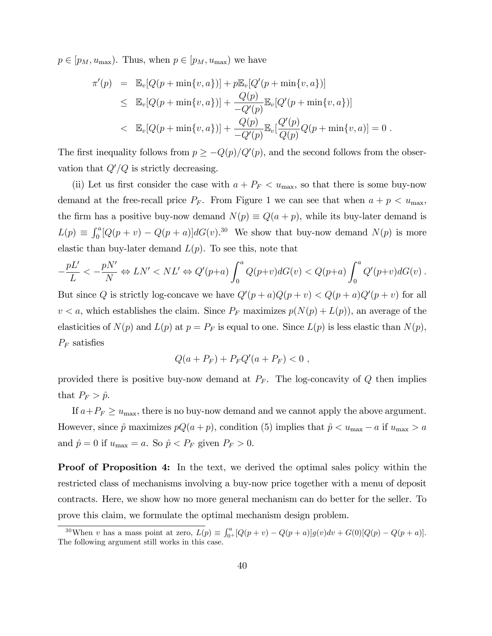$p \in [p_M, u_{\text{max}})$ . Thus, when  $p \in [p_M, u_{\text{max}})$  we have

$$
\pi'(p) = \mathbb{E}_{v}[Q(p + \min\{v, a\})] + p\mathbb{E}_{v}[Q'(p + \min\{v, a\})]
$$
  
\n
$$
\leq \mathbb{E}_{v}[Q(p + \min\{v, a\})] + \frac{Q(p)}{-Q'(p)} \mathbb{E}_{v}[Q'(p + \min\{v, a\})]
$$
  
\n
$$
< \mathbb{E}_{v}[Q(p + \min\{v, a\})] + \frac{Q(p)}{-Q'(p)} \mathbb{E}_{v}[\frac{Q'(p)}{Q(p)}Q(p + \min\{v, a\})] = 0.
$$

The first inequality follows from  $p \geq -Q(p)/Q'(p)$ , and the second follows from the observation that  $Q'/Q$  is strictly decreasing.

(ii) Let us first consider the case with  $a + P_F < u_{\text{max}}$ , so that there is some buy-now demand at the free-recall price  $P_F$ . From Figure 1 we can see that when  $a + p < u_{\text{max}}$ , the firm has a positive buy-now demand  $N(p) \equiv Q(a + p)$ , while its buy-later demand is  $L(p) \equiv \int_0^a [Q(p+v) - Q(p+a)] dG(v).$ <sup>30</sup> We show that buy-now demand  $N(p)$  is more elastic than buy-later demand  $L(p)$ . To see this, note that

$$
-\frac{pL'}{L} < -\frac{pN'}{N} \Leftrightarrow LN' < NL' \Leftrightarrow Q'(p+a) \int_0^a Q(p+v)dG(v) < Q(p+a) \int_0^a Q'(p+v)dG(v) .
$$

But since Q is strictly log-concave we have  $Q'(p + a)Q(p + v) < Q(p + a)Q'(p + v)$  for all  $v < a$ , which establishes the claim. Since  $P_F$  maximizes  $p(N(p) + L(p))$ , an average of the elasticities of  $N(p)$  and  $L(p)$  at  $p = P_F$  is equal to one. Since  $L(p)$  is less elastic than  $N(p)$ ,  $P_F$  satisfies

$$
Q(a + P_F) + P_F Q'(a + P_F) < 0 \; ,
$$

provided there is positive buy-now demand at  $P_F$ . The log-concavity of  $Q$  then implies that  $P_F > \hat{p}$ .

If  $a+P_F \geq u_{\text{max}}$ , there is no buy-now demand and we cannot apply the above argument. However, since  $\hat{p}$  maximizes  $pQ(a + p)$ , condition (5) implies that  $\hat{p} < u_{\text{max}} - a$  if  $u_{\text{max}} > a$ and  $\hat{p} = 0$  if  $u_{\text{max}} = a$ . So  $\hat{p} < P_F$  given  $P_F > 0$ .

Proof of Proposition 4: In the text, we derived the optimal sales policy within the restricted class of mechanisms involving a buy-now price together with a menu of deposit contracts. Here, we show how no more general mechanism can do better for the seller. To prove this claim, we formulate the optimal mechanism design problem.

<sup>&</sup>lt;sup>30</sup>When v has a mass point at zero,  $L(p) \equiv \int_{0^+}^{a} [Q(p + v) - Q(p + a)]g(v)dv + G(0)[Q(p) - Q(p + a)].$ The following argument still works in this case.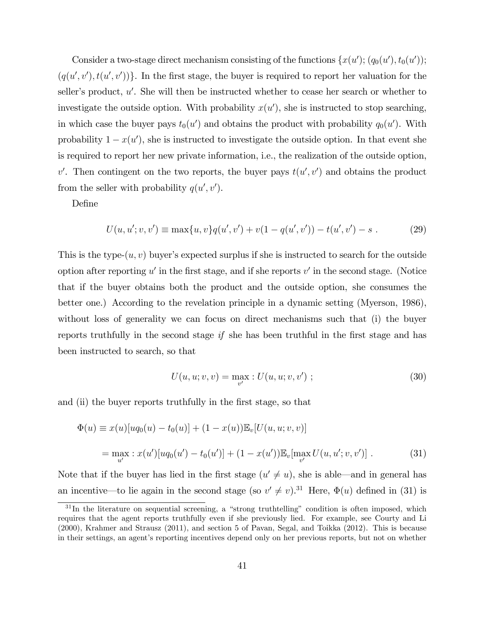Consider a two-stage direct mechanism consisting of the functions  $\{x(u'); (q_0(u'), t_0(u'));$  $(q(u', v'), t(u', v'))\}$ . In the first stage, the buyer is required to report her valuation for the seller's product,  $u'$ . She will then be instructed whether to cease her search or whether to investigate the outside option. With probability  $x(u')$ , she is instructed to stop searching, in which case the buyer pays  $t_0(u')$  and obtains the product with probability  $q_0(u')$ . With probability  $1 - x(u')$ , she is instructed to investigate the outside option. In that event she is required to report her new private information, i.e., the realization of the outside option, v'. Then contingent on the two reports, the buyer pays  $t(u', v')$  and obtains the product from the seller with probability  $q(u', v')$ .

Define

$$
U(u, u'; v, v') \equiv \max\{u, v\}q(u', v') + v(1 - q(u', v')) - t(u', v') - s . \tag{29}
$$

This is the type- $(u, v)$  buyer's expected surplus if she is instructed to search for the outside option after reporting  $u'$  in the first stage, and if she reports  $v'$  in the second stage. (Notice that if the buyer obtains both the product and the outside option, she consumes the better one.) According to the revelation principle in a dynamic setting (Myerson, 1986), without loss of generality we can focus on direct mechanisms such that (i) the buyer reports truthfully in the second stage  $if$  she has been truthful in the first stage and has been instructed to search, so that

$$
U(u, u; v, v) = \max_{v'} : U(u, u; v, v') ; \qquad (30)
$$

and (ii) the buyer reports truthfully in the first stage, so that

$$
\Phi(u) \equiv x(u)[uq_0(u) - t_0(u)] + (1 - x(u))\mathbb{E}_v[U(u, u; v, v)]
$$
  
= 
$$
\max_{u'} : x(u')[uq_0(u') - t_0(u')] + (1 - x(u'))\mathbb{E}_v[\max_{v'} U(u, u'; v, v')].
$$
 (31)

Note that if the buyer has lied in the first stage  $(u' \neq u)$ , she is able—and in general has an incentive—to lie again in the second stage (so  $v' \neq v$ ).<sup>31</sup> Here,  $\Phi(u)$  defined in (31) is

 $31$ In the literature on sequential screening, a "strong truthtelling" condition is often imposed, which requires that the agent reports truthfully even if she previously lied. For example, see Courty and Li (2000), Krahmer and Strausz (2011), and section 5 of Pavan, Segal, and Toikka (2012). This is because in their settings, an agent's reporting incentives depend only on her previous reports, but not on whether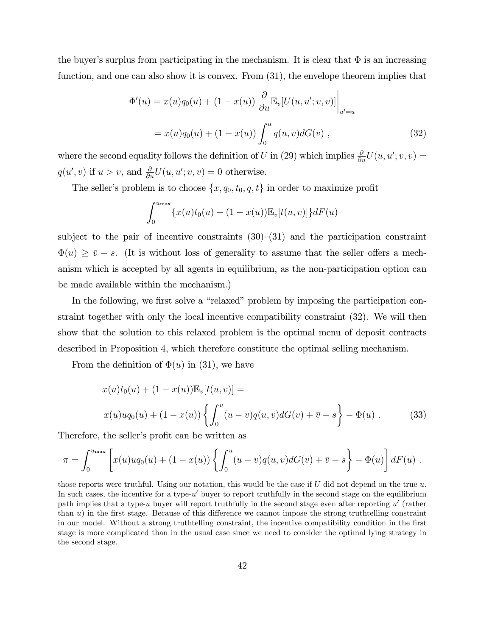the buyer's surplus from participating in the mechanism. It is clear that  $\Phi$  is an increasing function, and one can also show it is convex. From (31), the envelope theorem implies that

$$
\Phi'(u) = x(u)q_0(u) + (1 - x(u)) \frac{\partial}{\partial u} \mathbb{E}_v[U(u, u'; v, v)] \Big|_{u' = u}
$$
  
=  $x(u)q_0(u) + (1 - x(u)) \int_0^u q(u, v) dG(v)$ , (32)

where the second equality follows the definition of U in (29) which implies  $\frac{\partial}{\partial u}U(u, u'; v, v) =$  $q(u', v)$  if  $u > v$ , and  $\frac{\partial}{\partial u}U(u, u'; v, v) = 0$  otherwise.

The seller's problem is to choose  $\{x, q_0, t_0, q, t\}$  in order to maximize profit

$$
\int_0^{u_{\max}} \{x(u)t_0(u) + (1 - x(u))\mathbb{E}_v[t(u, v)]\} dF(u)
$$

subject to the pair of incentive constraints  $(30)$ – $(31)$  and the participation constraint  $\Phi(u) \geq \overline{v} - s$ . (It is without loss of generality to assume that the seller offers a mechanism which is accepted by all agents in equilibrium, as the non-participation option can be made available within the mechanism.)

In the following, we first solve a "relaxed" problem by imposing the participation constraint together with only the local incentive compatibility constraint (32). We will then show that the solution to this relaxed problem is the optimal menu of deposit contracts described in Proposition 4, which therefore constitute the optimal selling mechanism.

From the definition of  $\Phi(u)$  in (31), we have

$$
x(u)t_0(u) + (1 - x(u))\mathbb{E}_v[t(u, v)] =
$$
  
 
$$
x(u)uq_0(u) + (1 - x(u))\left\{\int_0^u (u - v)q(u, v)dG(v) + \bar{v} - s\right\} - \Phi(u).
$$
 (33)

Therefore, the seller's profit can be written as

$$
\pi = \int_0^{u_{\text{max}}} \left[ x(u)u q_0(u) + (1 - x(u)) \left\{ \int_0^u (u - v) q(u, v) dG(v) + \bar{v} - s \right\} - \Phi(u) \right] dF(u) .
$$

those reports were truthful. Using our notation, this would be the case if  $U$  did not depend on the true  $u$ . In such cases, the incentive for a type- $u'$  buyer to report truthfully in the second stage on the equilibrium path implies that a type-u buyer will report truthfully in the second stage even after reporting  $u'$  (rather than  $u$ ) in the first stage. Because of this difference we cannot impose the strong truthtelling constraint in our model. Without a strong truthtelling constraint, the incentive compatibility condition in the first stage is more complicated than in the usual case since we need to consider the optimal lying strategy in the second stage.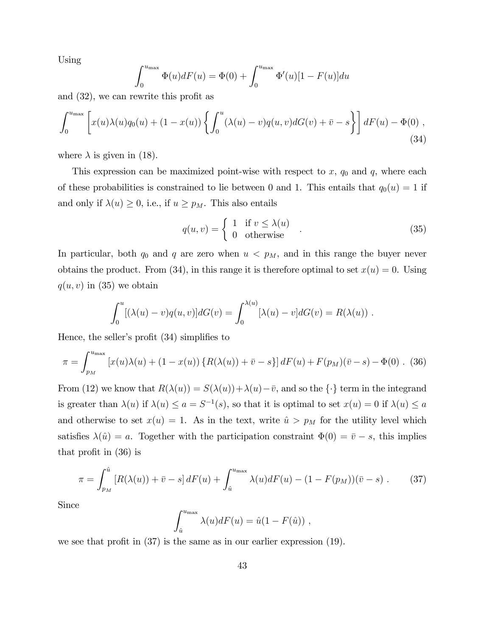Using

$$
\int_0^{u_{\max}} \Phi(u) dF(u) = \Phi(0) + \int_0^{u_{\max}} \Phi'(u) [1 - F(u)] du
$$

and  $(32)$ , we can rewrite this profit as

$$
\int_0^{u_{\max}} \left[ x(u)\lambda(u)q_0(u) + (1-x(u)) \left\{ \int_0^u (\lambda(u)-v)q(u,v)dG(v) + \bar{v} - s \right\} \right] dF(u) - \Phi(0) ,
$$
\n(34)

where  $\lambda$  is given in (18).

This expression can be maximized point-wise with respect to  $x, q_0$  and  $q$ , where each of these probabilities is constrained to lie between 0 and 1. This entails that  $q_0(u) = 1$  if and only if  $\lambda(u) \geq 0$ , i.e., if  $u \geq p_M$ . This also entails

$$
q(u,v) = \begin{cases} 1 & \text{if } v \le \lambda(u) \\ 0 & \text{otherwise} \end{cases}
$$
 (35)

In particular, both  $q_0$  and  $q$  are zero when  $u < p_M$ , and in this range the buyer never obtains the product. From (34), in this range it is therefore optimal to set  $x(u) = 0$ . Using  $q(u, v)$  in (35) we obtain

$$
\int_0^u [(\lambda(u)-v)q(u,v)]dG(v) = \int_0^{\lambda(u)} [\lambda(u)-v]dG(v) = R(\lambda(u)) .
$$

Hence, the seller's profit  $(34)$  simplifies to

$$
\pi = \int_{p_M}^{u_{\text{max}}} \left[ x(u)\lambda(u) + (1 - x(u)) \left\{ R(\lambda(u)) + \bar{v} - s \right\} \right] dF(u) + F(p_M)(\bar{v} - s) - \Phi(0) \quad (36)
$$

From (12) we know that  $R(\lambda(u)) = S(\lambda(u)) + \lambda(u) - \overline{v}$ , and so the  $\{\cdot\}$  term in the integrand is greater than  $\lambda(u)$  if  $\lambda(u) \le a = S^{-1}(s)$ , so that it is optimal to set  $x(u) = 0$  if  $\lambda(u) \le a$ and otherwise to set  $x(u) = 1$ . As in the text, write  $\hat{u} > p_M$  for the utility level which satisfies  $\lambda(\hat{u}) = a$ . Together with the participation constraint  $\Phi(0) = \bar{v} - s$ , this implies that profit in  $(36)$  is

$$
\pi = \int_{p_M}^{\hat{u}} \left[ R(\lambda(u)) + \bar{v} - s \right] dF(u) + \int_{\hat{u}}^{u_{\text{max}}} \lambda(u) dF(u) - (1 - F(p_M))(\bar{v} - s) . \tag{37}
$$

Since

$$
\int_{\hat{u}}^{u_{\max}} \lambda(u) dF(u) = \hat{u}(1 - F(\hat{u})),
$$

we see that profit in  $(37)$  is the same as in our earlier expression  $(19)$ .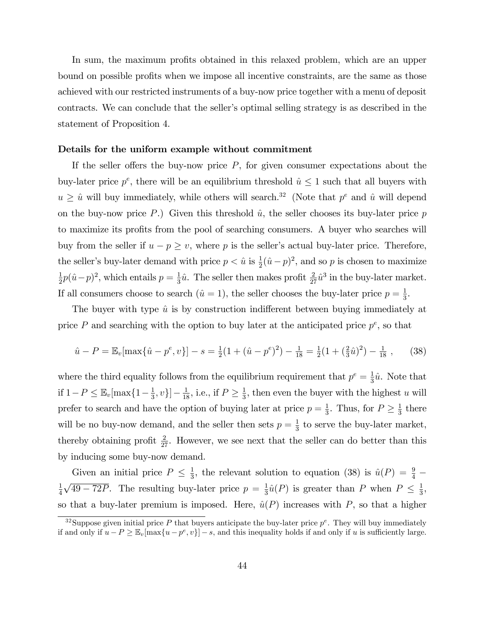In sum, the maximum profits obtained in this relaxed problem, which are an upper bound on possible profits when we impose all incentive constraints, are the same as those achieved with our restricted instruments of a buy-now price together with a menu of deposit contracts. We can conclude that the seller's optimal selling strategy is as described in the statement of Proposition 4.

#### Details for the uniform example without commitment

If the seller offers the buy-now price  $P$ , for given consumer expectations about the buy-later price  $p^e$ , there will be an equilibrium threshold  $\hat{u} \leq 1$  such that all buyers with  $u \geq \hat{u}$  will buy immediately, while others will search.<sup>32</sup> (Note that  $p^e$  and  $\hat{u}$  will depend on the buy-now price P.) Given this threshold  $\hat{u}$ , the seller chooses its buy-later price p to maximize its profits from the pool of searching consumers. A buyer who searches will buy from the seller if  $u - p \geq v$ , where p is the seller's actual buy-later price. Therefore, the seller's buy-later demand with price  $p < \hat{u}$  is  $\frac{1}{2}(\hat{u} - p)^2$ , and so p is chosen to maximize 1  $\frac{1}{2}p(\hat{u}-p)^2$ , which entails  $p = \frac{1}{3}$  $\frac{1}{3}\hat{u}$ . The seller then makes profit  $\frac{2}{27}\hat{u}^3$  in the buy-later market. If all consumers choose to search  $(\hat{u} = 1)$ , the seller chooses the buy-later price  $p = \frac{1}{3}$  $\frac{1}{3}$ .

The buyer with type  $\hat{u}$  is by construction indifferent between buying immediately at price  $P$  and searching with the option to buy later at the anticipated price  $p^e$ , so that

$$
\hat{u} - P = \mathbb{E}_v[\max\{\hat{u} - p^e, v\}] - s = \frac{1}{2}(1 + (\hat{u} - p^e)^2) - \frac{1}{18} = \frac{1}{2}(1 + (\frac{2}{3}\hat{u})^2) - \frac{1}{18},\qquad(38)
$$

where the third equality follows from the equilibrium requirement that  $p^e = \frac{1}{3}$  $\frac{1}{3}\hat{u}$ . Note that if  $1-P \leq \mathbb{E}_v[\max\{1-\frac{1}{3}\}]$  $\left[\frac{1}{3}, v\right] - \frac{1}{18}$ , i.e., if  $P \ge \frac{1}{3}$  $\frac{1}{3}$ , then even the buyer with the highest u will prefer to search and have the option of buying later at price  $p = \frac{1}{3}$  $\frac{1}{3}$ . Thus, for  $P \geq \frac{1}{3}$  $\frac{1}{3}$  there will be no buy-now demand, and the seller then sets  $p = \frac{1}{3}$  $\frac{1}{3}$  to serve the buy-later market, thereby obtaining profit  $\frac{2}{27}$ . However, we see next that the seller can do better than this by inducing some buy-now demand.

Given an initial price  $P \leq \frac{1}{3}$  $\frac{1}{3}$ , the relevant solution to equation (38) is  $\hat{u}(P) = \frac{9}{4}$ 1 4  $\sqrt{49-72P}$ . The resulting buy-later price  $p=\frac{1}{3}$  $\frac{1}{3}\hat{u}(P)$  is greater than P when  $P \leq \frac{1}{3}$  $\frac{1}{3}$ , so that a buy-later premium is imposed. Here,  $\hat{u}(P)$  increases with P, so that a higher

<sup>&</sup>lt;sup>32</sup>Suppose given initial price P that buyers anticipate the buy-later price  $p^e$ . They will buy immediately if and only if  $u - P \geq \mathbb{E}_v[\max\{u - p^e, v\}] - s$ , and this inequality holds if and only if u is sufficiently large.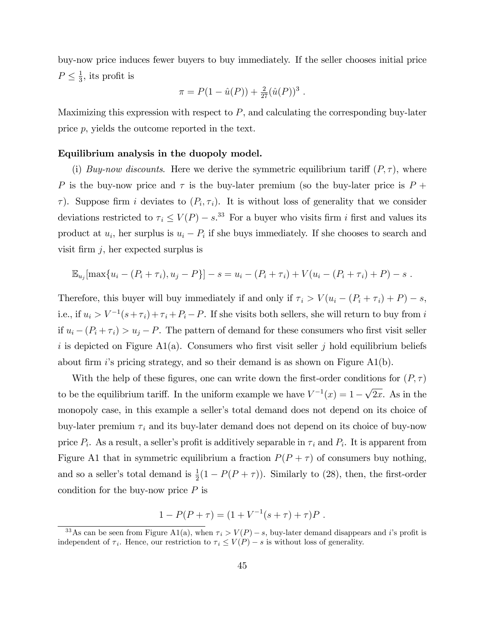buy-now price induces fewer buyers to buy immediately. If the seller chooses initial price  $P \leq \frac{1}{3}$  $\frac{1}{3}$ , its profit is

$$
\pi = P(1 - \hat{u}(P)) + \frac{2}{27}(\hat{u}(P))^3.
$$

Maximizing this expression with respect to  $P$ , and calculating the corresponding buy-later price p, yields the outcome reported in the text.

#### Equilibrium analysis in the duopoly model.

(i) Buy-now discounts. Here we derive the symmetric equilibrium tariff  $(P, \tau)$ , where P is the buy-now price and  $\tau$  is the buy-later premium (so the buy-later price is P +  $\tau$ ). Suppose firm i deviates to  $(P_i, \tau_i)$ . It is without loss of generality that we consider deviations restricted to  $\tau_i \le V(P) - s$ .<sup>33</sup> For a buyer who visits firm *i* first and values its product at  $u_i$ , her surplus is  $u_i - P_i$  if she buys immediately. If she chooses to search and visit firm  $j$ , her expected surplus is

$$
\mathbb{E}_{u_j}[\max\{u_i - (P_i + \tau_i), u_j - P\}] - s = u_i - (P_i + \tau_i) + V(u_i - (P_i + \tau_i) + P) - s.
$$

Therefore, this buyer will buy immediately if and only if  $\tau_i > V(u_i - (P_i + \tau_i) + P) - s$ , i.e., if  $u_i > V^{-1}(s+\tau_i) + \tau_i + P_i - P$ . If she visits both sellers, she will return to buy from i if  $u_i - (P_i + \tau_i) > u_j - P$ . The pattern of demand for these consumers who first visit seller i is depicted on Figure A1(a). Consumers who first visit seller j hold equilibrium beliefs about firm is pricing strategy, and so their demand is as shown on Figure  $A1(b)$ .

With the help of these figures, one can write down the first-order conditions for  $(P, \tau)$ to be the equilibrium tariff. In the uniform example we have  $V^{-1}(x) = 1 - \sqrt{2x}$ . As in the monopoly case, in this example a seller's total demand does not depend on its choice of buy-later premium  $\tau_i$  and its buy-later demand does not depend on its choice of buy-now price  $P_i$ . As a result, a seller's profit is additively separable in  $\tau_i$  and  $P_i$ . It is apparent from Figure A1 that in symmetric equilibrium a fraction  $P(P + \tau)$  of consumers buy nothing, and so a seller's total demand is  $\frac{1}{2}(1 - P(P + \tau))$ . Similarly to (28), then, the first-order condition for the buy-now price  $P$  is

$$
1 - P(P + \tau) = (1 + V^{-1}(s + \tau) + \tau)P.
$$

<sup>&</sup>lt;sup>33</sup>As can be seen from Figure A1(a), when  $\tau_i > V(P) - s$ , buy-later demand disappears and *i*'s profit is independent of  $\tau_i$ . Hence, our restriction to  $\tau_i \le V(P) - s$  is without loss of generality.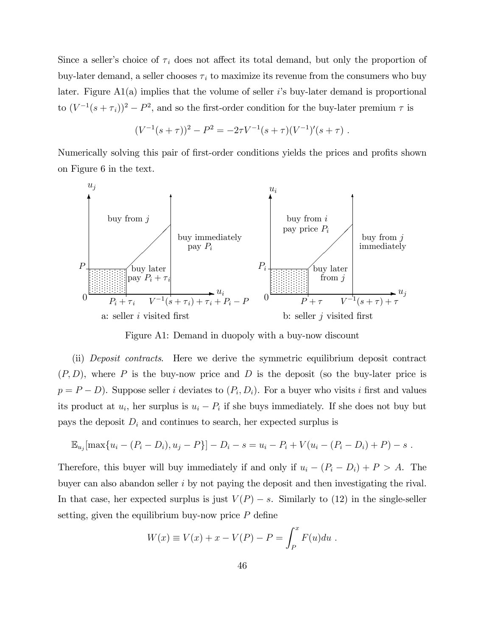Since a seller's choice of  $\tau_i$  does not affect its total demand, but only the proportion of buy-later demand, a seller chooses  $\tau_i$  to maximize its revenue from the consumers who buy later. Figure  $A1(a)$  implies that the volume of seller *i*'s buy-later demand is proportional to  $(V^{-1}(s+\tau_i))^2 - P^2$ , and so the first-order condition for the buy-later premium  $\tau$  is

$$
(V^{-1}(s+\tau))^2 - P^2 = -2\tau V^{-1}(s+\tau)(V^{-1})'(s+\tau).
$$

Numerically solving this pair of first-order conditions yields the prices and profits shown on Figure 6 in the text.



Figure A1: Demand in duopoly with a buy-now discount

(ii) Deposit contracts. Here we derive the symmetric equilibrium deposit contract  $(P, D)$ , where P is the buy-now price and D is the deposit (so the buy-later price is  $p = P - D$ ). Suppose seller *i* deviates to  $(P_i, D_i)$ . For a buyer who visits *i* first and values its product at  $u_i$ , her surplus is  $u_i - P_i$  if she buys immediately. If she does not buy but pays the deposit  $D_i$  and continues to search, her expected surplus is

$$
\mathbb{E}_{u_j}[\max\{u_i - (P_i - D_i), u_j - P\}] - D_i - s = u_i - P_i + V(u_i - (P_i - D_i) + P) - s.
$$

Therefore, this buyer will buy immediately if and only if  $u_i - (P_i - D_i) + P > A$ . The buyer can also abandon seller i by not paying the deposit and then investigating the rival. In that case, her expected surplus is just  $V(P) - s$ . Similarly to (12) in the single-seller setting, given the equilibrium buy-now price  $P$  define

$$
W(x) \equiv V(x) + x - V(P) - P = \int_P^x F(u) du
$$
.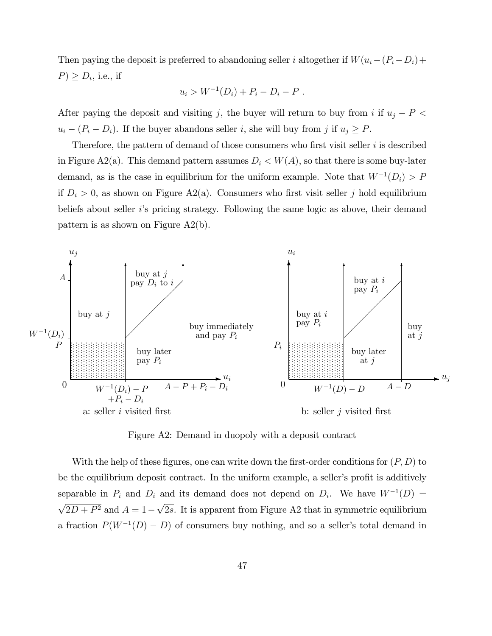Then paying the deposit is preferred to abandoning seller i altogether if  $W(u_i-(P_i-D_i)+$  $P$ )  $\geq D_i$ , i.e., if

$$
u_i > W^{-1}(D_i) + P_i - D_i - P
$$
.

After paying the deposit and visiting j, the buyer will return to buy from i if  $u_j - P$  $u_i - (P_i - D_i)$ . If the buyer abandons seller i, she will buy from j if  $u_j \ge P$ .

Therefore, the pattern of demand of those consumers who first visit seller  $i$  is described in Figure A2(a). This demand pattern assumes  $D_i < W(A)$ , so that there is some buy-later demand, as is the case in equilibrium for the uniform example. Note that  $W^{-1}(D_i) > P$ if  $D_i > 0$ , as shown on Figure A2(a). Consumers who first visit seller j hold equilibrium beliefs about seller iís pricing strategy. Following the same logic as above, their demand pattern is as shown on Figure A2(b).



Figure A2: Demand in duopoly with a deposit contract

With the help of these figures, one can write down the first-order conditions for  $(P, D)$  to be the equilibrium deposit contract. In the uniform example, a seller's profit is additively separable in  $P_i$  and  $D_i$  and its demand does not depend on  $D_i$ . We have  $W^{-1}(D)$  =  $\sqrt{2D + P^2}$  and  $A = 1 - \sqrt{2s}$ . It is apparent from Figure A2 that in symmetric equilibrium a fraction  $P(W^{-1}(D) - D)$  of consumers buy nothing, and so a seller's total demand in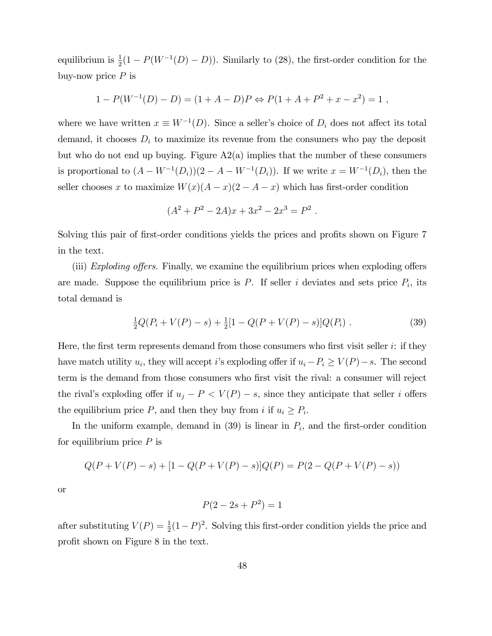equilibrium is  $\frac{1}{2}(1 - P(W^{-1}(D) - D))$ . Similarly to (28), the first-order condition for the buy-now price  $P$  is

$$
1 - P(W^{-1}(D) - D) = (1 + A - D)P \Leftrightarrow P(1 + A + P^{2} + x - x^{2}) = 1,
$$

where we have written  $x \equiv W^{-1}(D)$ . Since a seller's choice of  $D_i$  does not affect its total demand, it chooses  $D_i$  to maximize its revenue from the consumers who pay the deposit but who do not end up buying. Figure A2(a) implies that the number of these consumers is proportional to  $(A - W^{-1}(D_i))(2 - A - W^{-1}(D_i))$ . If we write  $x = W^{-1}(D_i)$ , then the seller chooses x to maximize  $W(x)(A - x)(2 - A - x)$  which has first-order condition

$$
(A2 + P2 – 2A)x + 3x2 – 2x3 = P2.
$$

Solving this pair of first-order conditions yields the prices and profits shown on Figure 7 in the text.

(iii) Exploding offers. Finally, we examine the equilibrium prices when exploding offers are made. Suppose the equilibrium price is  $P$ . If seller i deviates and sets price  $P_i$ , its total demand is

$$
\frac{1}{2}Q(P_i + V(P) - s) + \frac{1}{2}[1 - Q(P + V(P) - s)]Q(P_i) . \tag{39}
$$

Here, the first term represents demand from those consumers who first visit seller  $i$ : if they have match utility  $u_i$ , they will accept *i*'s exploding offer if  $u_i - P_i \ge V(P) - s$ . The second term is the demand from those consumers who first visit the rival: a consumer will reject the rival's exploding offer if  $u_j - P < V(P) - s$ , since they anticipate that seller i offers the equilibrium price  $P$ , and then they buy from i if  $u_i \geq P_i$ .

In the uniform example, demand in  $(39)$  is linear in  $P_i$ , and the first-order condition for equilibrium price  $P$  is

$$
Q(P + V(P) - s) + [1 - Q(P + V(P) - s)]Q(P) = P(2 - Q(P + V(P) - s))
$$

or

$$
P(2 - 2s + P^2) = 1
$$

after substituting  $V(P) = \frac{1}{2}(1-P)^2$ . Solving this first-order condition yields the price and profit shown on Figure 8 in the text.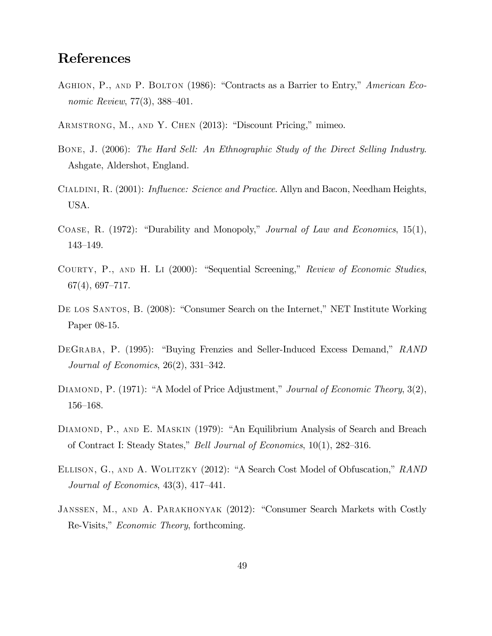## References

- AGHION, P., AND P. BOLTON (1986): "Contracts as a Barrier to Entry," American Economic Review,  $77(3)$ ,  $388-401$ .
- ARMSTRONG, M., AND Y. CHEN (2013): "Discount Pricing," mimeo.
- Bone, J. (2006): The Hard Sell: An Ethnographic Study of the Direct Selling Industry. Ashgate, Aldershot, England.
- CIALDINI, R. (2001): *Influence: Science and Practice*. Allyn and Bacon, Needham Heights, USA.
- COASE, R. (1972): "Durability and Monopoly," Journal of Law and Economics, 15(1), 143-149.
- COURTY, P., AND H. LI (2000): "Sequential Screening," Review of Economic Studies,  $67(4), 697-717.$
- DE LOS SANTOS, B. (2008): "Consumer Search on the Internet," NET Institute Working Paper 08-15.
- DEGRABA, P. (1995): "Buying Frenzies and Seller-Induced Excess Demand," RAND Journal of Economics,  $26(2)$ ,  $331-342$ .
- DIAMOND, P.  $(1971)$ : "A Model of Price Adjustment," Journal of Economic Theory,  $3(2)$ , 156–168.
- DIAMOND, P., AND E. MASKIN (1979): "An Equilibrium Analysis of Search and Breach of Contract I: Steady States," *Bell Journal of Economics*,  $10(1)$ ,  $282-316$ .
- ELLISON, G., AND A. WOLITZKY (2012): "A Search Cost Model of Obfuscation," RAND Journal of Economics,  $43(3)$ ,  $417-441$ .
- JANSSEN, M., AND A. PARAKHONYAK (2012): "Consumer Search Markets with Costly Re-Visits," *Economic Theory*, forthcoming.